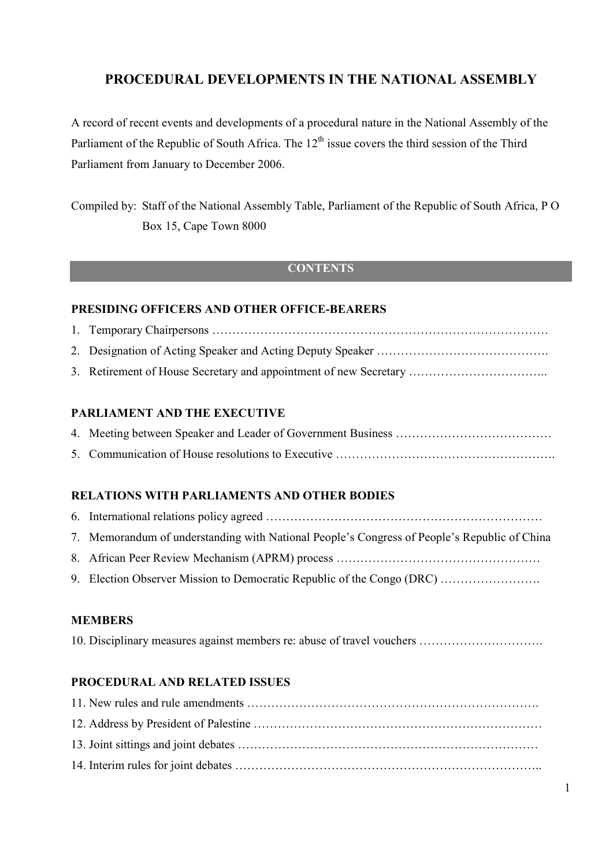### **PROCEDURAL DEVELOPMENTS IN THE NATIONAL ASSEMBLY**

A record of recent events and developments of a procedural nature in the National Assembly of the Parliament of the Republic of South Africa. The  $12<sup>th</sup>$  issue covers the third session of the Third Parliament from January to December 2006.

Compiled by: Staff of the National Assembly Table, Parliament of the Republic of South Africa, P O Box 15, Cape Town 8000

#### **CONTENTS**

#### **PRESIDING OFFICERS AND OTHER OFFICE-BEARERS**

| 3. Retirement of House Secretary and appointment of new Secretary |
|-------------------------------------------------------------------|

#### **PARLIAMENT AND THE EXECUTIVE**

#### **RELATIONS WITH PARLIAMENTS AND OTHER BODIES**

| 7. Memorandum of understanding with National People's Congress of People's Republic of China |
|----------------------------------------------------------------------------------------------|
|                                                                                              |
| 9. Election Observer Mission to Democratic Republic of the Congo (DRC)                       |

#### **MEMBERS**

10. Disciplinary measures against members re: abuse of travel vouchers ………………………….

#### **PROCEDURAL AND RELATED ISSUES**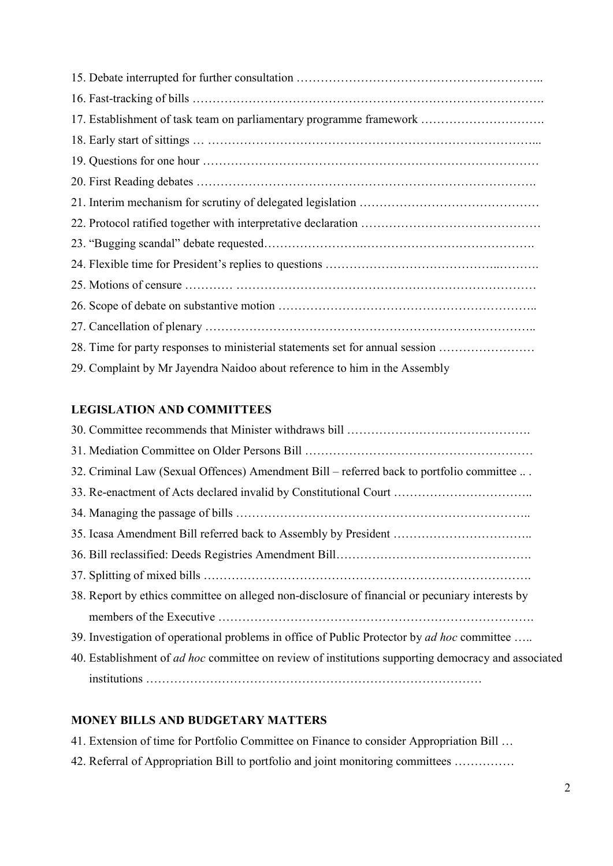| 17. Establishment of task team on parliamentary programme framework           |  |
|-------------------------------------------------------------------------------|--|
|                                                                               |  |
|                                                                               |  |
|                                                                               |  |
|                                                                               |  |
|                                                                               |  |
|                                                                               |  |
|                                                                               |  |
|                                                                               |  |
|                                                                               |  |
|                                                                               |  |
| 28. Time for party responses to ministerial statements set for annual session |  |
| 29. Complaint by Mr Jayendra Naidoo about reference to him in the Assembly    |  |

### **LEGISLATION AND COMMITTEES**

| 32. Criminal Law (Sexual Offences) Amendment Bill – referred back to portfolio committee                   |  |
|------------------------------------------------------------------------------------------------------------|--|
| 33. Re-enactment of Acts declared invalid by Constitutional Court                                          |  |
|                                                                                                            |  |
|                                                                                                            |  |
|                                                                                                            |  |
|                                                                                                            |  |
| 38. Report by ethics committee on alleged non-disclosure of financial or pecuniary interests by            |  |
|                                                                                                            |  |
| 39. Investigation of operational problems in office of Public Protector by <i>ad hoc</i> committee         |  |
| 40. Establishment of <i>ad hoc</i> committee on review of institutions supporting democracy and associated |  |
|                                                                                                            |  |

#### **MONEY BILLS AND BUDGETARY MATTERS**

41. Extension of time for Portfolio Committee on Finance to consider Appropriation Bill …

42. Referral of Appropriation Bill to portfolio and joint monitoring committees ……………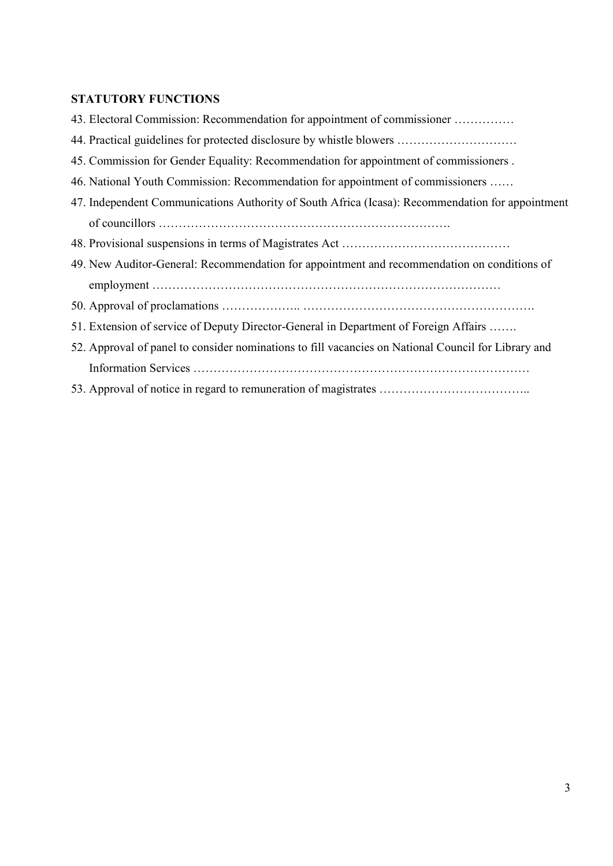## **STATUTORY FUNCTIONS**

|                                                                                             | 43. Electoral Commission: Recommendation for appointment of commissioner                            |
|---------------------------------------------------------------------------------------------|-----------------------------------------------------------------------------------------------------|
|                                                                                             | 44. Practical guidelines for protected disclosure by whistle blowers                                |
|                                                                                             | 45. Commission for Gender Equality: Recommendation for appointment of commissioners.                |
|                                                                                             | 46. National Youth Commission: Recommendation for appointment of commissioners                      |
|                                                                                             | 47. Independent Communications Authority of South Africa (Icasa): Recommendation for appointment    |
|                                                                                             |                                                                                                     |
|                                                                                             |                                                                                                     |
| 49. New Auditor-General: Recommendation for appointment and recommendation on conditions of |                                                                                                     |
|                                                                                             |                                                                                                     |
|                                                                                             |                                                                                                     |
|                                                                                             | 51. Extension of service of Deputy Director-General in Department of Foreign Affairs                |
|                                                                                             | 52. Approval of panel to consider nominations to fill vacancies on National Council for Library and |
|                                                                                             |                                                                                                     |
|                                                                                             |                                                                                                     |
|                                                                                             |                                                                                                     |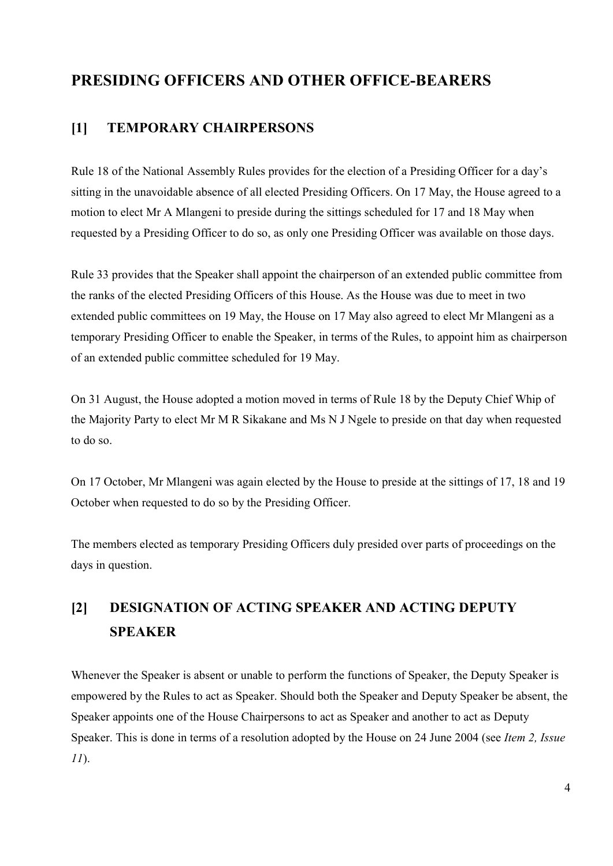## **PRESIDING OFFICERS AND OTHER OFFICE-BEARERS**

### **[1] TEMPORARY CHAIRPERSONS**

Rule 18 of the National Assembly Rules provides for the election of a Presiding Officer for a day's sitting in the unavoidable absence of all elected Presiding Officers. On 17 May, the House agreed to a motion to elect Mr A Mlangeni to preside during the sittings scheduled for 17 and 18 May when requested by a Presiding Officer to do so, as only one Presiding Officer was available on those days.

Rule 33 provides that the Speaker shall appoint the chairperson of an extended public committee from the ranks of the elected Presiding Officers of this House. As the House was due to meet in two extended public committees on 19 May, the House on 17 May also agreed to elect Mr Mlangeni as a temporary Presiding Officer to enable the Speaker, in terms of the Rules, to appoint him as chairperson of an extended public committee scheduled for 19 May.

On 31 August, the House adopted a motion moved in terms of Rule 18 by the Deputy Chief Whip of the Majority Party to elect Mr M R Sikakane and Ms N J Ngele to preside on that day when requested to do so.

On 17 October, Mr Mlangeni was again elected by the House to preside at the sittings of 17, 18 and 19 October when requested to do so by the Presiding Officer.

The members elected as temporary Presiding Officers duly presided over parts of proceedings on the days in question.

## **[2] DESIGNATION OF ACTING SPEAKER AND ACTING DEPUTY SPEAKER**

Whenever the Speaker is absent or unable to perform the functions of Speaker, the Deputy Speaker is empowered by the Rules to act as Speaker. Should both the Speaker and Deputy Speaker be absent, the Speaker appoints one of the House Chairpersons to act as Speaker and another to act as Deputy Speaker. This is done in terms of a resolution adopted by the House on 24 June 2004 (see *Item 2, Issue 11*).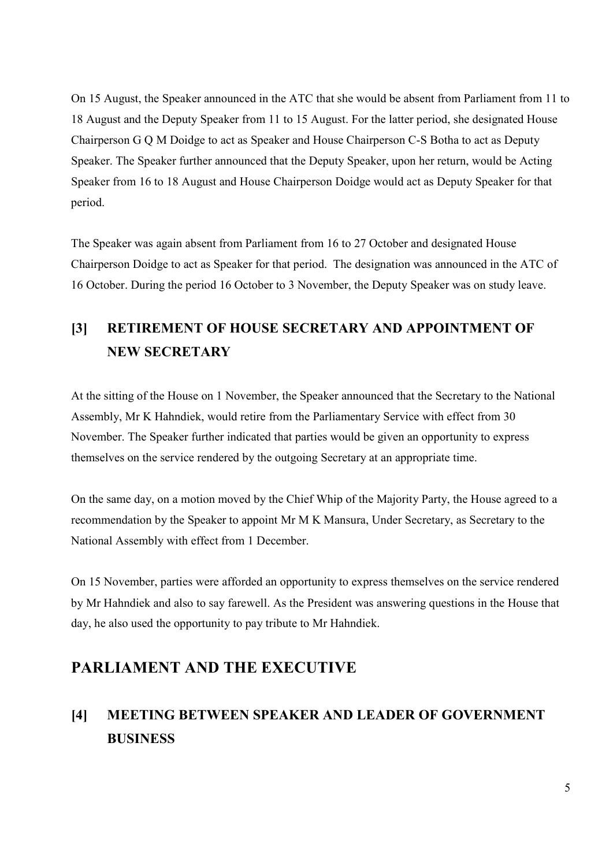On 15 August, the Speaker announced in the ATC that she would be absent from Parliament from 11 to 18 August and the Deputy Speaker from 11 to 15 August. For the latter period, she designated House Chairperson G Q M Doidge to act as Speaker and House Chairperson C-S Botha to act as Deputy Speaker. The Speaker further announced that the Deputy Speaker, upon her return, would be Acting Speaker from 16 to 18 August and House Chairperson Doidge would act as Deputy Speaker for that period.

The Speaker was again absent from Parliament from 16 to 27 October and designated House Chairperson Doidge to act as Speaker for that period. The designation was announced in the ATC of 16 October. During the period 16 October to 3 November, the Deputy Speaker was on study leave.

## **[3] RETIREMENT OF HOUSE SECRETARY AND APPOINTMENT OF NEW SECRETARY**

At the sitting of the House on 1 November, the Speaker announced that the Secretary to the National Assembly, Mr K Hahndiek, would retire from the Parliamentary Service with effect from 30 November. The Speaker further indicated that parties would be given an opportunity to express themselves on the service rendered by the outgoing Secretary at an appropriate time.

On the same day, on a motion moved by the Chief Whip of the Majority Party, the House agreed to a recommendation by the Speaker to appoint Mr M K Mansura, Under Secretary, as Secretary to the National Assembly with effect from 1 December.

On 15 November, parties were afforded an opportunity to express themselves on the service rendered by Mr Hahndiek and also to say farewell. As the President was answering questions in the House that day, he also used the opportunity to pay tribute to Mr Hahndiek.

## **PARLIAMENT AND THE EXECUTIVE**

## **[4] MEETING BETWEEN SPEAKER AND LEADER OF GOVERNMENT BUSINESS**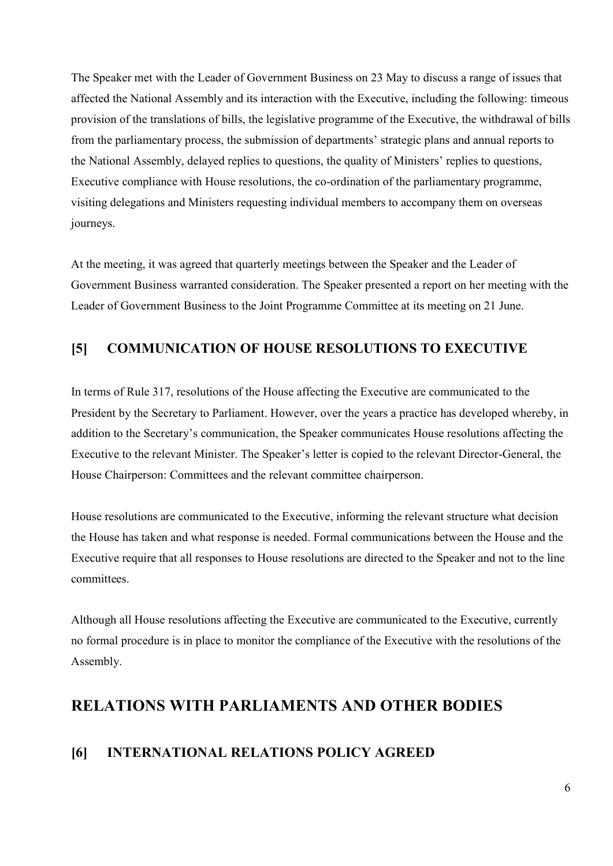The Speaker met with the Leader of Government Business on 23 May to discuss a range of issues that affected the National Assembly and its interaction with the Executive, including the following: timeous provision of the translations of bills, the legislative programme of the Executive, the withdrawal of bills from the parliamentary process, the submission of departments' strategic plans and annual reports to the National Assembly, delayed replies to questions, the quality of Ministers' replies to questions, Executive compliance with House resolutions, the co-ordination of the parliamentary programme, visiting delegations and Ministers requesting individual members to accompany them on overseas journeys.

At the meeting, it was agreed that quarterly meetings between the Speaker and the Leader of Government Business warranted consideration. The Speaker presented a report on her meeting with the Leader of Government Business to the Joint Programme Committee at its meeting on 21 June.

### **[5] COMMUNICATION OF HOUSE RESOLUTIONS TO EXECUTIVE**

In terms of Rule 317, resolutions of the House affecting the Executive are communicated to the President by the Secretary to Parliament. However, over the years a practice has developed whereby, in addition to the Secretary's communication, the Speaker communicates House resolutions affecting the Executive to the relevant Minister. The Speaker's letter is copied to the relevant Director-General, the House Chairperson: Committees and the relevant committee chairperson.

House resolutions are communicated to the Executive, informing the relevant structure what decision the House has taken and what response is needed. Formal communications between the House and the Executive require that all responses to House resolutions are directed to the Speaker and not to the line committees.

Although all House resolutions affecting the Executive are communicated to the Executive, currently no formal procedure is in place to monitor the compliance of the Executive with the resolutions of the Assembly.

## **RELATIONS WITH PARLIAMENTS AND OTHER BODIES**

### **[6] INTERNATIONAL RELATIONS POLICY AGREED**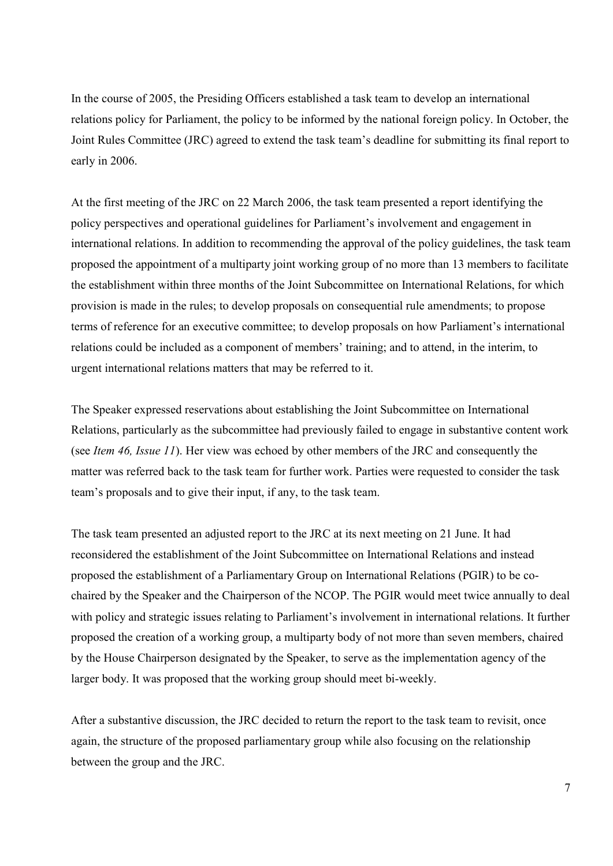In the course of 2005, the Presiding Officers established a task team to develop an international relations policy for Parliament, the policy to be informed by the national foreign policy. In October, the Joint Rules Committee (JRC) agreed to extend the task team's deadline for submitting its final report to early in 2006.

At the first meeting of the JRC on 22 March 2006, the task team presented a report identifying the policy perspectives and operational guidelines for Parliament's involvement and engagement in international relations. In addition to recommending the approval of the policy guidelines, the task team proposed the appointment of a multiparty joint working group of no more than 13 members to facilitate the establishment within three months of the Joint Subcommittee on International Relations, for which provision is made in the rules; to develop proposals on consequential rule amendments; to propose terms of reference for an executive committee; to develop proposals on how Parliament's international relations could be included as a component of members' training; and to attend, in the interim, to urgent international relations matters that may be referred to it.

The Speaker expressed reservations about establishing the Joint Subcommittee on International Relations, particularly as the subcommittee had previously failed to engage in substantive content work (see *Item 46, Issue 11*). Her view was echoed by other members of the JRC and consequently the matter was referred back to the task team for further work. Parties were requested to consider the task team's proposals and to give their input, if any, to the task team.

The task team presented an adjusted report to the JRC at its next meeting on 21 June. It had reconsidered the establishment of the Joint Subcommittee on International Relations and instead proposed the establishment of a Parliamentary Group on International Relations (PGIR) to be cochaired by the Speaker and the Chairperson of the NCOP. The PGIR would meet twice annually to deal with policy and strategic issues relating to Parliament's involvement in international relations. It further proposed the creation of a working group, a multiparty body of not more than seven members, chaired by the House Chairperson designated by the Speaker, to serve as the implementation agency of the larger body. It was proposed that the working group should meet bi-weekly.

After a substantive discussion, the JRC decided to return the report to the task team to revisit, once again, the structure of the proposed parliamentary group while also focusing on the relationship between the group and the JRC.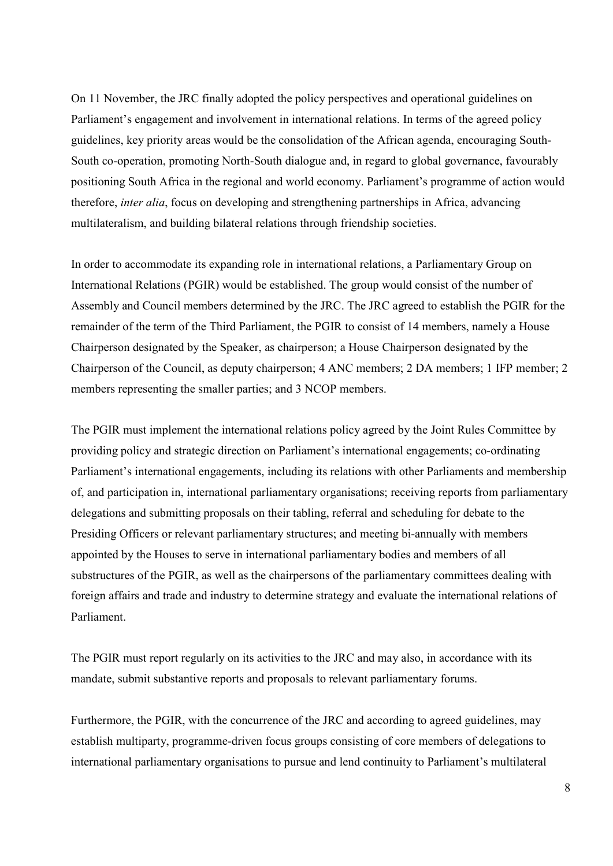On 11 November, the JRC finally adopted the policy perspectives and operational guidelines on Parliament's engagement and involvement in international relations. In terms of the agreed policy guidelines, key priority areas would be the consolidation of the African agenda, encouraging South-South co-operation, promoting North-South dialogue and, in regard to global governance, favourably positioning South Africa in the regional and world economy. Parliament's programme of action would therefore, *inter alia*, focus on developing and strengthening partnerships in Africa, advancing multilateralism, and building bilateral relations through friendship societies.

In order to accommodate its expanding role in international relations, a Parliamentary Group on International Relations (PGIR) would be established. The group would consist of the number of Assembly and Council members determined by the JRC. The JRC agreed to establish the PGIR for the remainder of the term of the Third Parliament, the PGIR to consist of 14 members, namely a House Chairperson designated by the Speaker, as chairperson; a House Chairperson designated by the Chairperson of the Council, as deputy chairperson; 4 ANC members; 2 DA members; 1 IFP member; 2 members representing the smaller parties; and 3 NCOP members.

The PGIR must implement the international relations policy agreed by the Joint Rules Committee by providing policy and strategic direction on Parliament's international engagements; co-ordinating Parliament's international engagements, including its relations with other Parliaments and membership of, and participation in, international parliamentary organisations; receiving reports from parliamentary delegations and submitting proposals on their tabling, referral and scheduling for debate to the Presiding Officers or relevant parliamentary structures; and meeting bi-annually with members appointed by the Houses to serve in international parliamentary bodies and members of all substructures of the PGIR, as well as the chairpersons of the parliamentary committees dealing with foreign affairs and trade and industry to determine strategy and evaluate the international relations of Parliament.

The PGIR must report regularly on its activities to the JRC and may also, in accordance with its mandate, submit substantive reports and proposals to relevant parliamentary forums.

Furthermore, the PGIR, with the concurrence of the JRC and according to agreed guidelines, may establish multiparty, programme-driven focus groups consisting of core members of delegations to international parliamentary organisations to pursue and lend continuity to Parliament's multilateral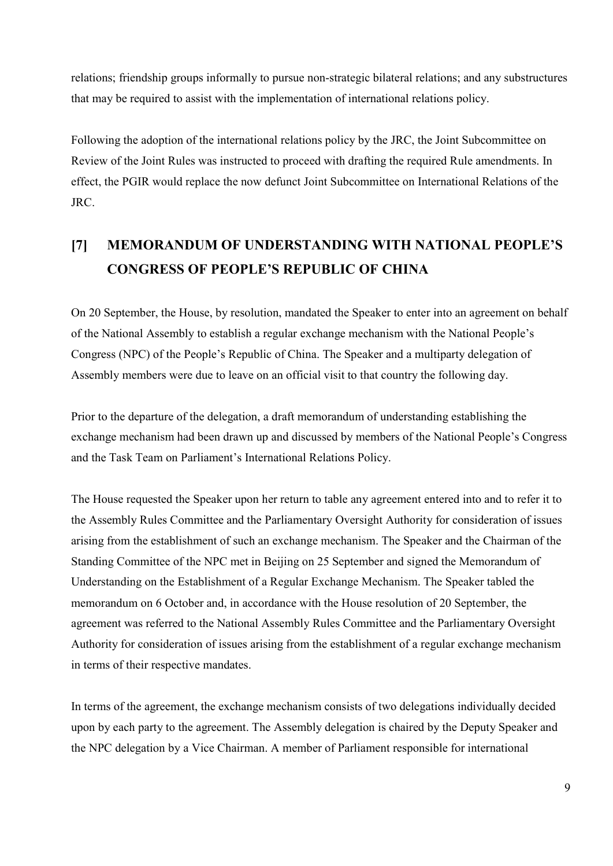relations; friendship groups informally to pursue non-strategic bilateral relations; and any substructures that may be required to assist with the implementation of international relations policy.

Following the adoption of the international relations policy by the JRC, the Joint Subcommittee on Review of the Joint Rules was instructed to proceed with drafting the required Rule amendments. In effect, the PGIR would replace the now defunct Joint Subcommittee on International Relations of the JRC.

## **[7] MEMORANDUM OF UNDERSTANDING WITH NATIONAL PEOPLE'S CONGRESS OF PEOPLE'S REPUBLIC OF CHINA**

On 20 September, the House, by resolution, mandated the Speaker to enter into an agreement on behalf of the National Assembly to establish a regular exchange mechanism with the National People's Congress (NPC) of the People's Republic of China. The Speaker and a multiparty delegation of Assembly members were due to leave on an official visit to that country the following day.

Prior to the departure of the delegation, a draft memorandum of understanding establishing the exchange mechanism had been drawn up and discussed by members of the National People's Congress and the Task Team on Parliament's International Relations Policy.

The House requested the Speaker upon her return to table any agreement entered into and to refer it to the Assembly Rules Committee and the Parliamentary Oversight Authority for consideration of issues arising from the establishment of such an exchange mechanism. The Speaker and the Chairman of the Standing Committee of the NPC met in Beijing on 25 September and signed the Memorandum of Understanding on the Establishment of a Regular Exchange Mechanism. The Speaker tabled the memorandum on 6 October and, in accordance with the House resolution of 20 September, the agreement was referred to the National Assembly Rules Committee and the Parliamentary Oversight Authority for consideration of issues arising from the establishment of a regular exchange mechanism in terms of their respective mandates.

In terms of the agreement, the exchange mechanism consists of two delegations individually decided upon by each party to the agreement. The Assembly delegation is chaired by the Deputy Speaker and the NPC delegation by a Vice Chairman. A member of Parliament responsible for international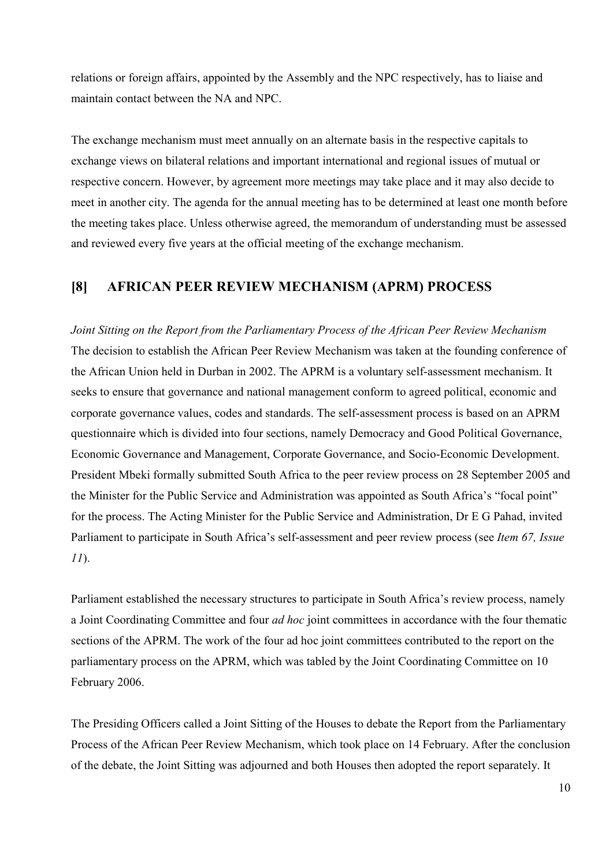relations or foreign affairs, appointed by the Assembly and the NPC respectively, has to liaise and maintain contact between the NA and NPC.

The exchange mechanism must meet annually on an alternate basis in the respective capitals to exchange views on bilateral relations and important international and regional issues of mutual or respective concern. However, by agreement more meetings may take place and it may also decide to meet in another city. The agenda for the annual meeting has to be determined at least one month before the meeting takes place. Unless otherwise agreed, the memorandum of understanding must be assessed and reviewed every five years at the official meeting of the exchange mechanism.

### **[8] AFRICAN PEER REVIEW MECHANISM (APRM) PROCESS**

*Joint Sitting on the Report from the Parliamentary Process of the African Peer Review Mechanism*  The decision to establish the African Peer Review Mechanism was taken at the founding conference of the African Union held in Durban in 2002. The APRM is a voluntary self-assessment mechanism. It seeks to ensure that governance and national management conform to agreed political, economic and corporate governance values, codes and standards. The self-assessment process is based on an APRM questionnaire which is divided into four sections, namely Democracy and Good Political Governance, Economic Governance and Management, Corporate Governance, and Socio-Economic Development. President Mbeki formally submitted South Africa to the peer review process on 28 September 2005 and the Minister for the Public Service and Administration was appointed as South Africa's "focal point" for the process. The Acting Minister for the Public Service and Administration, Dr E G Pahad, invited Parliament to participate in South Africa's self-assessment and peer review process (see *Item 67, Issue 11*).

Parliament established the necessary structures to participate in South Africa's review process, namely a Joint Coordinating Committee and four *ad hoc* joint committees in accordance with the four thematic sections of the APRM. The work of the four ad hoc joint committees contributed to the report on the parliamentary process on the APRM, which was tabled by the Joint Coordinating Committee on 10 February 2006.

The Presiding Officers called a Joint Sitting of the Houses to debate the Report from the Parliamentary Process of the African Peer Review Mechanism, which took place on 14 February. After the conclusion of the debate, the Joint Sitting was adjourned and both Houses then adopted the report separately. It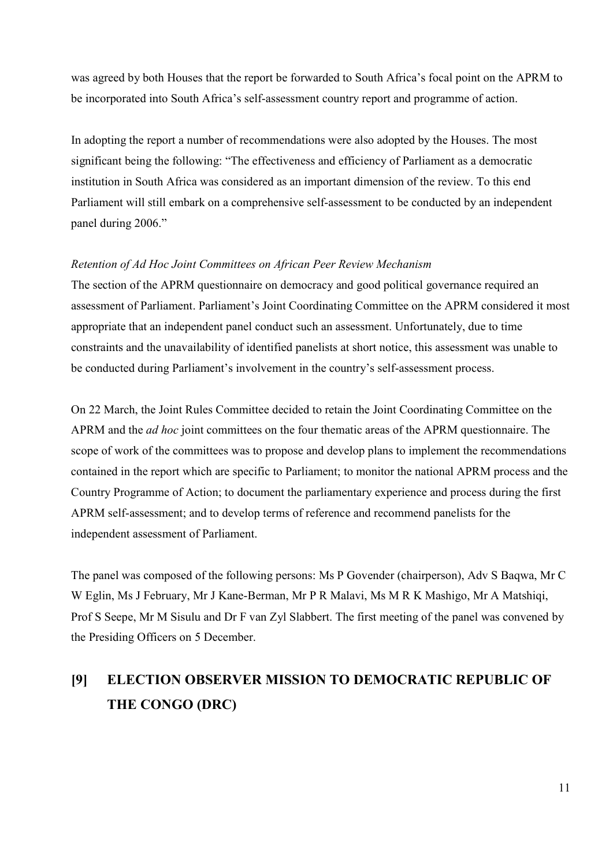was agreed by both Houses that the report be forwarded to South Africa's focal point on the APRM to be incorporated into South Africa's self-assessment country report and programme of action.

In adopting the report a number of recommendations were also adopted by the Houses. The most significant being the following: "The effectiveness and efficiency of Parliament as a democratic institution in South Africa was considered as an important dimension of the review. To this end Parliament will still embark on a comprehensive self-assessment to be conducted by an independent panel during 2006."

#### *Retention of Ad Hoc Joint Committees on African Peer Review Mechanism*

The section of the APRM questionnaire on democracy and good political governance required an assessment of Parliament. Parliament's Joint Coordinating Committee on the APRM considered it most appropriate that an independent panel conduct such an assessment. Unfortunately, due to time constraints and the unavailability of identified panelists at short notice, this assessment was unable to be conducted during Parliament's involvement in the country's self-assessment process.

On 22 March, the Joint Rules Committee decided to retain the Joint Coordinating Committee on the APRM and the *ad hoc* joint committees on the four thematic areas of the APRM questionnaire. The scope of work of the committees was to propose and develop plans to implement the recommendations contained in the report which are specific to Parliament; to monitor the national APRM process and the Country Programme of Action; to document the parliamentary experience and process during the first APRM self-assessment; and to develop terms of reference and recommend panelists for the independent assessment of Parliament.

The panel was composed of the following persons: Ms P Govender (chairperson), Adv S Baqwa, Mr C W Eglin, Ms J February, Mr J Kane-Berman, Mr P R Malavi, Ms M R K Mashigo, Mr A Matshiqi, Prof S Seepe, Mr M Sisulu and Dr F van Zyl Slabbert. The first meeting of the panel was convened by the Presiding Officers on 5 December.

## **[9] ELECTION OBSERVER MISSION TO DEMOCRATIC REPUBLIC OF THE CONGO (DRC)**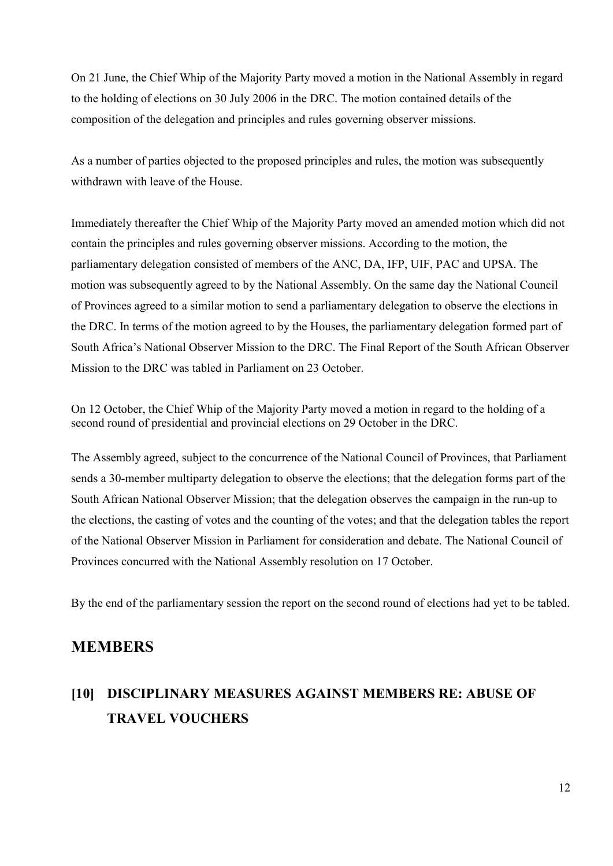On 21 June, the Chief Whip of the Majority Party moved a motion in the National Assembly in regard to the holding of elections on 30 July 2006 in the DRC. The motion contained details of the composition of the delegation and principles and rules governing observer missions.

As a number of parties objected to the proposed principles and rules, the motion was subsequently withdrawn with leave of the House.

Immediately thereafter the Chief Whip of the Majority Party moved an amended motion which did not contain the principles and rules governing observer missions. According to the motion, the parliamentary delegation consisted of members of the ANC, DA, IFP, UIF, PAC and UPSA. The motion was subsequently agreed to by the National Assembly. On the same day the National Council of Provinces agreed to a similar motion to send a parliamentary delegation to observe the elections in the DRC. In terms of the motion agreed to by the Houses, the parliamentary delegation formed part of South Africa's National Observer Mission to the DRC. The Final Report of the South African Observer Mission to the DRC was tabled in Parliament on 23 October.

On 12 October, the Chief Whip of the Majority Party moved a motion in regard to the holding of a second round of presidential and provincial elections on 29 October in the DRC.

The Assembly agreed, subject to the concurrence of the National Council of Provinces, that Parliament sends a 30-member multiparty delegation to observe the elections; that the delegation forms part of the South African National Observer Mission; that the delegation observes the campaign in the run-up to the elections, the casting of votes and the counting of the votes; and that the delegation tables the report of the National Observer Mission in Parliament for consideration and debate. The National Council of Provinces concurred with the National Assembly resolution on 17 October.

By the end of the parliamentary session the report on the second round of elections had yet to be tabled.

## **MEMBERS**

## **[10] DISCIPLINARY MEASURES AGAINST MEMBERS RE: ABUSE OF TRAVEL VOUCHERS**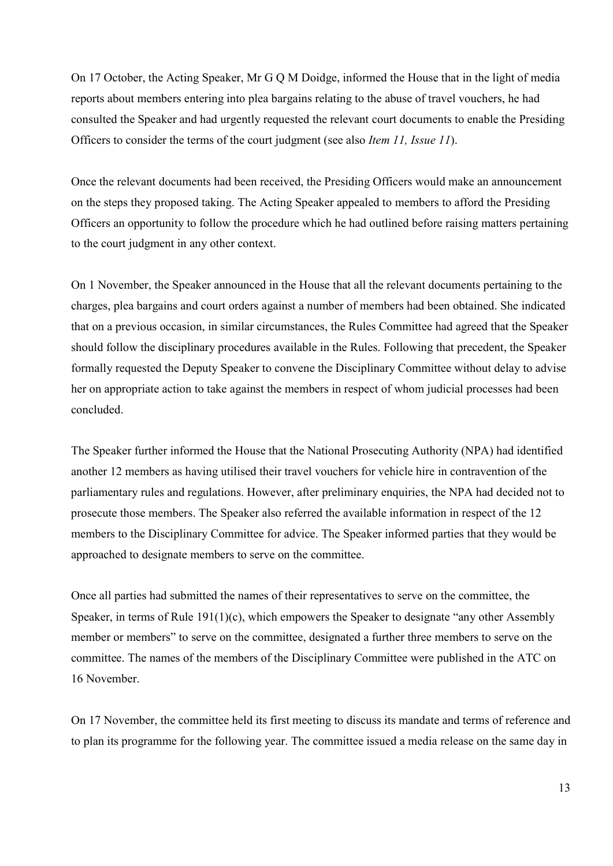On 17 October, the Acting Speaker, Mr G Q M Doidge, informed the House that in the light of media reports about members entering into plea bargains relating to the abuse of travel vouchers, he had consulted the Speaker and had urgently requested the relevant court documents to enable the Presiding Officers to consider the terms of the court judgment (see also *Item 11, Issue 11*).

Once the relevant documents had been received, the Presiding Officers would make an announcement on the steps they proposed taking. The Acting Speaker appealed to members to afford the Presiding Officers an opportunity to follow the procedure which he had outlined before raising matters pertaining to the court judgment in any other context.

On 1 November, the Speaker announced in the House that all the relevant documents pertaining to the charges, plea bargains and court orders against a number of members had been obtained. She indicated that on a previous occasion, in similar circumstances, the Rules Committee had agreed that the Speaker should follow the disciplinary procedures available in the Rules. Following that precedent, the Speaker formally requested the Deputy Speaker to convene the Disciplinary Committee without delay to advise her on appropriate action to take against the members in respect of whom judicial processes had been concluded.

The Speaker further informed the House that the National Prosecuting Authority (NPA) had identified another 12 members as having utilised their travel vouchers for vehicle hire in contravention of the parliamentary rules and regulations. However, after preliminary enquiries, the NPA had decided not to prosecute those members. The Speaker also referred the available information in respect of the 12 members to the Disciplinary Committee for advice. The Speaker informed parties that they would be approached to designate members to serve on the committee.

Once all parties had submitted the names of their representatives to serve on the committee, the Speaker, in terms of Rule  $191(1)(c)$ , which empowers the Speaker to designate "any other Assembly" member or members" to serve on the committee, designated a further three members to serve on the committee. The names of the members of the Disciplinary Committee were published in the ATC on 16 November.

On 17 November, the committee held its first meeting to discuss its mandate and terms of reference and to plan its programme for the following year. The committee issued a media release on the same day in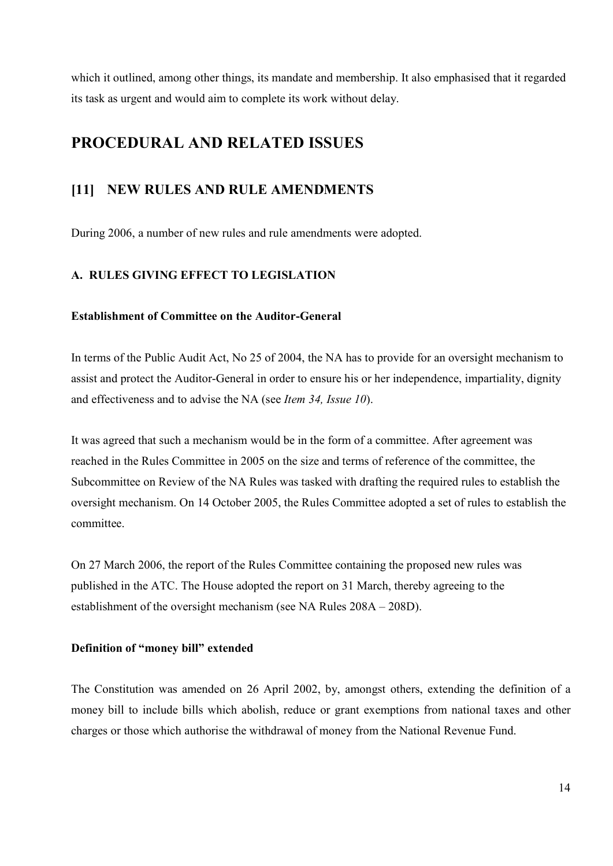which it outlined, among other things, its mandate and membership. It also emphasised that it regarded its task as urgent and would aim to complete its work without delay.

### **PROCEDURAL AND RELATED ISSUES**

### **[11] NEW RULES AND RULE AMENDMENTS**

During 2006, a number of new rules and rule amendments were adopted.

#### **A. RULES GIVING EFFECT TO LEGISLATION**

#### **Establishment of Committee on the Auditor-General**

In terms of the Public Audit Act, No 25 of 2004, the NA has to provide for an oversight mechanism to assist and protect the Auditor-General in order to ensure his or her independence, impartiality, dignity and effectiveness and to advise the NA (see *Item 34, Issue 10*).

It was agreed that such a mechanism would be in the form of a committee. After agreement was reached in the Rules Committee in 2005 on the size and terms of reference of the committee, the Subcommittee on Review of the NA Rules was tasked with drafting the required rules to establish the oversight mechanism. On 14 October 2005, the Rules Committee adopted a set of rules to establish the committee.

On 27 March 2006, the report of the Rules Committee containing the proposed new rules was published in the ATC. The House adopted the report on 31 March, thereby agreeing to the establishment of the oversight mechanism (see NA Rules 208A – 208D).

#### **Definition of "money bill" extended**

The Constitution was amended on 26 April 2002, by, amongst others, extending the definition of a money bill to include bills which abolish, reduce or grant exemptions from national taxes and other charges or those which authorise the withdrawal of money from the National Revenue Fund.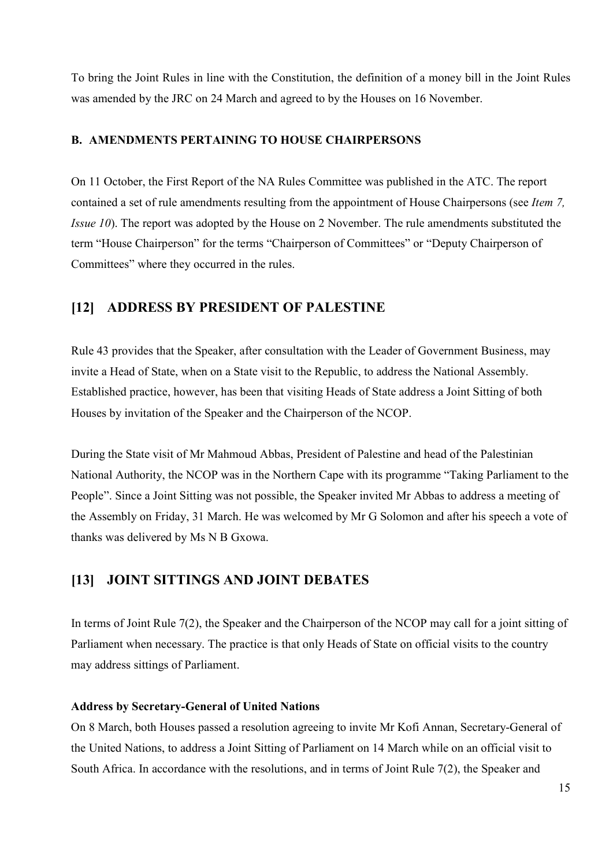To bring the Joint Rules in line with the Constitution, the definition of a money bill in the Joint Rules was amended by the JRC on 24 March and agreed to by the Houses on 16 November.

#### **B. AMENDMENTS PERTAINING TO HOUSE CHAIRPERSONS**

On 11 October, the First Report of the NA Rules Committee was published in the ATC. The report contained a set of rule amendments resulting from the appointment of House Chairpersons (see *Item 7, Issue 10*). The report was adopted by the House on 2 November. The rule amendments substituted the term "House Chairperson" for the terms "Chairperson of Committees" or "Deputy Chairperson of Committees" where they occurred in the rules.

### **[12] ADDRESS BY PRESIDENT OF PALESTINE**

Rule 43 provides that the Speaker, after consultation with the Leader of Government Business, may invite a Head of State, when on a State visit to the Republic, to address the National Assembly. Established practice, however, has been that visiting Heads of State address a Joint Sitting of both Houses by invitation of the Speaker and the Chairperson of the NCOP.

During the State visit of Mr Mahmoud Abbas, President of Palestine and head of the Palestinian National Authority, the NCOP was in the Northern Cape with its programme "Taking Parliament to the People". Since a Joint Sitting was not possible, the Speaker invited Mr Abbas to address a meeting of the Assembly on Friday, 31 March. He was welcomed by Mr G Solomon and after his speech a vote of thanks was delivered by Ms N B Gxowa.

### **[13] JOINT SITTINGS AND JOINT DEBATES**

In terms of Joint Rule 7(2), the Speaker and the Chairperson of the NCOP may call for a joint sitting of Parliament when necessary. The practice is that only Heads of State on official visits to the country may address sittings of Parliament.

#### **Address by Secretary-General of United Nations**

On 8 March, both Houses passed a resolution agreeing to invite Mr Kofi Annan, Secretary-General of the United Nations, to address a Joint Sitting of Parliament on 14 March while on an official visit to South Africa. In accordance with the resolutions, and in terms of Joint Rule 7(2), the Speaker and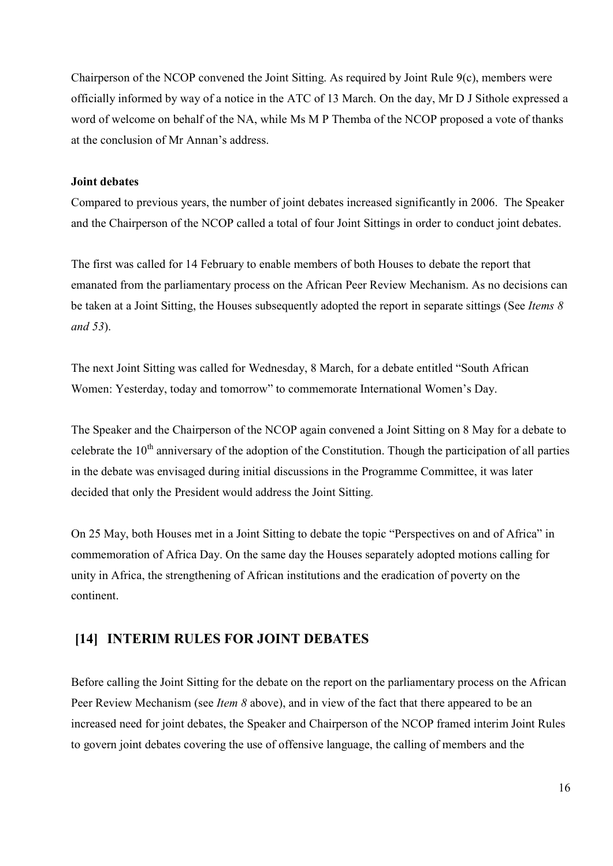Chairperson of the NCOP convened the Joint Sitting. As required by Joint Rule 9(c), members were officially informed by way of a notice in the ATC of 13 March. On the day, Mr D J Sithole expressed a word of welcome on behalf of the NA, while Ms M P Themba of the NCOP proposed a vote of thanks at the conclusion of Mr Annan's address.

#### **Joint debates**

Compared to previous years, the number of joint debates increased significantly in 2006. The Speaker and the Chairperson of the NCOP called a total of four Joint Sittings in order to conduct joint debates.

The first was called for 14 February to enable members of both Houses to debate the report that emanated from the parliamentary process on the African Peer Review Mechanism. As no decisions can be taken at a Joint Sitting, the Houses subsequently adopted the report in separate sittings (See *Items 8 and 53*).

The next Joint Sitting was called for Wednesday, 8 March, for a debate entitled "South African Women: Yesterday, today and tomorrow" to commemorate International Women's Day.

The Speaker and the Chairperson of the NCOP again convened a Joint Sitting on 8 May for a debate to celebrate the  $10<sup>th</sup>$  anniversary of the adoption of the Constitution. Though the participation of all parties in the debate was envisaged during initial discussions in the Programme Committee, it was later decided that only the President would address the Joint Sitting.

On 25 May, both Houses met in a Joint Sitting to debate the topic "Perspectives on and of Africa" in commemoration of Africa Day. On the same day the Houses separately adopted motions calling for unity in Africa, the strengthening of African institutions and the eradication of poverty on the continent.

### **[14] INTERIM RULES FOR JOINT DEBATES**

Before calling the Joint Sitting for the debate on the report on the parliamentary process on the African Peer Review Mechanism (see *Item 8* above), and in view of the fact that there appeared to be an increased need for joint debates, the Speaker and Chairperson of the NCOP framed interim Joint Rules to govern joint debates covering the use of offensive language, the calling of members and the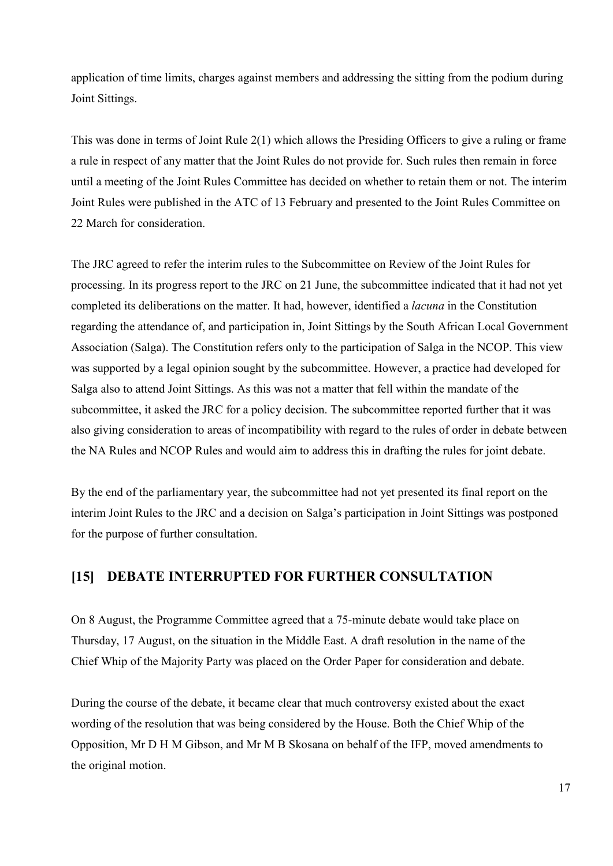application of time limits, charges against members and addressing the sitting from the podium during Joint Sittings.

This was done in terms of Joint Rule 2(1) which allows the Presiding Officers to give a ruling or frame a rule in respect of any matter that the Joint Rules do not provide for. Such rules then remain in force until a meeting of the Joint Rules Committee has decided on whether to retain them or not. The interim Joint Rules were published in the ATC of 13 February and presented to the Joint Rules Committee on 22 March for consideration.

The JRC agreed to refer the interim rules to the Subcommittee on Review of the Joint Rules for processing. In its progress report to the JRC on 21 June, the subcommittee indicated that it had not yet completed its deliberations on the matter. It had, however, identified a *lacuna* in the Constitution regarding the attendance of, and participation in, Joint Sittings by the South African Local Government Association (Salga). The Constitution refers only to the participation of Salga in the NCOP. This view was supported by a legal opinion sought by the subcommittee. However, a practice had developed for Salga also to attend Joint Sittings. As this was not a matter that fell within the mandate of the subcommittee, it asked the JRC for a policy decision. The subcommittee reported further that it was also giving consideration to areas of incompatibility with regard to the rules of order in debate between the NA Rules and NCOP Rules and would aim to address this in drafting the rules for joint debate.

By the end of the parliamentary year, the subcommittee had not yet presented its final report on the interim Joint Rules to the JRC and a decision on Salga's participation in Joint Sittings was postponed for the purpose of further consultation.

#### **[15] DEBATE INTERRUPTED FOR FURTHER CONSULTATION**

On 8 August, the Programme Committee agreed that a 75-minute debate would take place on Thursday, 17 August, on the situation in the Middle East. A draft resolution in the name of the Chief Whip of the Majority Party was placed on the Order Paper for consideration and debate.

During the course of the debate, it became clear that much controversy existed about the exact wording of the resolution that was being considered by the House. Both the Chief Whip of the Opposition, Mr D H M Gibson, and Mr M B Skosana on behalf of the IFP, moved amendments to the original motion.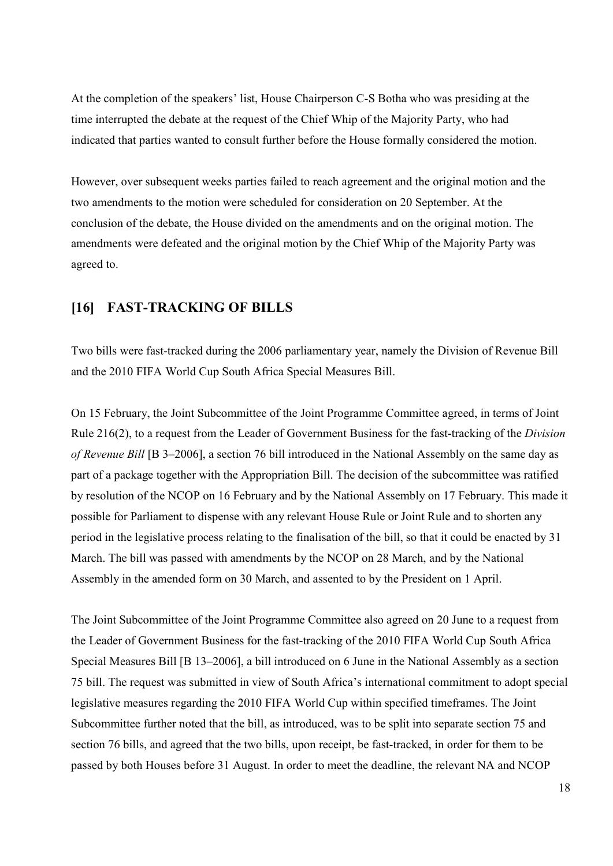At the completion of the speakers' list, House Chairperson C-S Botha who was presiding at the time interrupted the debate at the request of the Chief Whip of the Majority Party, who had indicated that parties wanted to consult further before the House formally considered the motion.

However, over subsequent weeks parties failed to reach agreement and the original motion and the two amendments to the motion were scheduled for consideration on 20 September. At the conclusion of the debate, the House divided on the amendments and on the original motion. The amendments were defeated and the original motion by the Chief Whip of the Majority Party was agreed to.

### **[16] FAST-TRACKING OF BILLS**

Two bills were fast-tracked during the 2006 parliamentary year, namely the Division of Revenue Bill and the 2010 FIFA World Cup South Africa Special Measures Bill.

On 15 February, the Joint Subcommittee of the Joint Programme Committee agreed, in terms of Joint Rule 216(2), to a request from the Leader of Government Business for the fast-tracking of the *Division of Revenue Bill* [B 3–2006], a section 76 bill introduced in the National Assembly on the same day as part of a package together with the Appropriation Bill. The decision of the subcommittee was ratified by resolution of the NCOP on 16 February and by the National Assembly on 17 February. This made it possible for Parliament to dispense with any relevant House Rule or Joint Rule and to shorten any period in the legislative process relating to the finalisation of the bill, so that it could be enacted by 31 March. The bill was passed with amendments by the NCOP on 28 March, and by the National Assembly in the amended form on 30 March, and assented to by the President on 1 April.

The Joint Subcommittee of the Joint Programme Committee also agreed on 20 June to a request from the Leader of Government Business for the fast-tracking of the 2010 FIFA World Cup South Africa Special Measures Bill [B 13–2006], a bill introduced on 6 June in the National Assembly as a section 75 bill. The request was submitted in view of South Africa's international commitment to adopt special legislative measures regarding the 2010 FIFA World Cup within specified timeframes. The Joint Subcommittee further noted that the bill, as introduced, was to be split into separate section 75 and section 76 bills, and agreed that the two bills, upon receipt, be fast-tracked, in order for them to be passed by both Houses before 31 August. In order to meet the deadline, the relevant NA and NCOP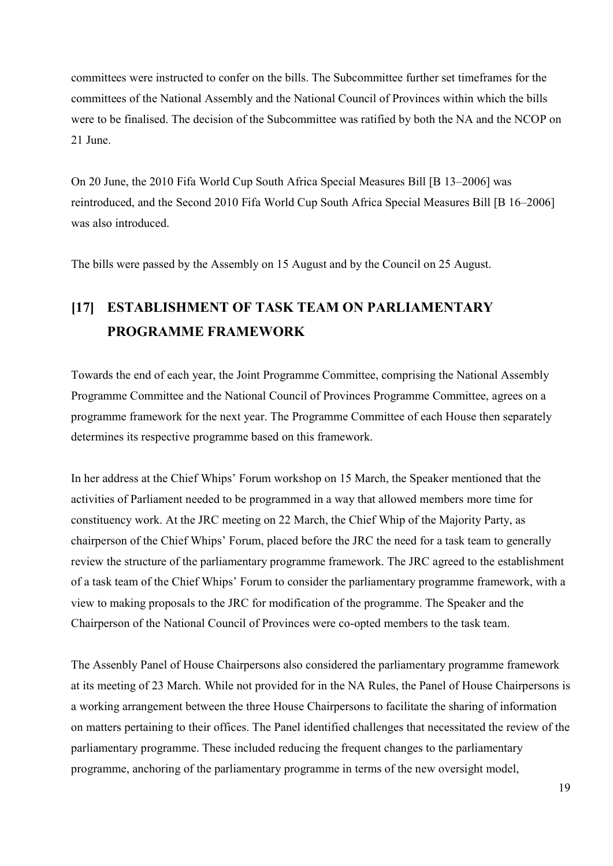committees were instructed to confer on the bills. The Subcommittee further set timeframes for the committees of the National Assembly and the National Council of Provinces within which the bills were to be finalised. The decision of the Subcommittee was ratified by both the NA and the NCOP on 21 June.

On 20 June, the 2010 Fifa World Cup South Africa Special Measures Bill [B 13–2006] was reintroduced, and the Second 2010 Fifa World Cup South Africa Special Measures Bill [B 16–2006] was also introduced.

The bills were passed by the Assembly on 15 August and by the Council on 25 August.

## **[17] ESTABLISHMENT OF TASK TEAM ON PARLIAMENTARY PROGRAMME FRAMEWORK**

Towards the end of each year, the Joint Programme Committee, comprising the National Assembly Programme Committee and the National Council of Provinces Programme Committee, agrees on a programme framework for the next year. The Programme Committee of each House then separately determines its respective programme based on this framework.

In her address at the Chief Whips' Forum workshop on 15 March, the Speaker mentioned that the activities of Parliament needed to be programmed in a way that allowed members more time for constituency work. At the JRC meeting on 22 March, the Chief Whip of the Majority Party, as chairperson of the Chief Whips' Forum, placed before the JRC the need for a task team to generally review the structure of the parliamentary programme framework. The JRC agreed to the establishment of a task team of the Chief Whips' Forum to consider the parliamentary programme framework, with a view to making proposals to the JRC for modification of the programme. The Speaker and the Chairperson of the National Council of Provinces were co-opted members to the task team.

The Assenbly Panel of House Chairpersons also considered the parliamentary programme framework at its meeting of 23 March. While not provided for in the NA Rules, the Panel of House Chairpersons is a working arrangement between the three House Chairpersons to facilitate the sharing of information on matters pertaining to their offices. The Panel identified challenges that necessitated the review of the parliamentary programme. These included reducing the frequent changes to the parliamentary programme, anchoring of the parliamentary programme in terms of the new oversight model,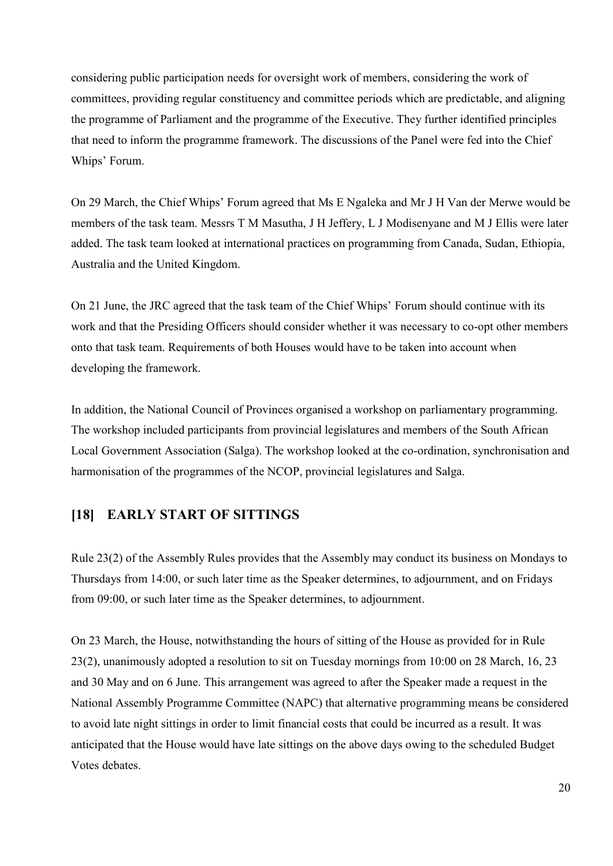considering public participation needs for oversight work of members, considering the work of committees, providing regular constituency and committee periods which are predictable, and aligning the programme of Parliament and the programme of the Executive. They further identified principles that need to inform the programme framework. The discussions of the Panel were fed into the Chief Whips' Forum.

On 29 March, the Chief Whips' Forum agreed that Ms E Ngaleka and Mr J H Van der Merwe would be members of the task team. Messrs T M Masutha, J H Jeffery, L J Modisenyane and M J Ellis were later added. The task team looked at international practices on programming from Canada, Sudan, Ethiopia, Australia and the United Kingdom.

On 21 June, the JRC agreed that the task team of the Chief Whips' Forum should continue with its work and that the Presiding Officers should consider whether it was necessary to co-opt other members onto that task team. Requirements of both Houses would have to be taken into account when developing the framework.

In addition, the National Council of Provinces organised a workshop on parliamentary programming. The workshop included participants from provincial legislatures and members of the South African Local Government Association (Salga). The workshop looked at the co-ordination, synchronisation and harmonisation of the programmes of the NCOP, provincial legislatures and Salga.

### **[18] EARLY START OF SITTINGS**

Rule 23(2) of the Assembly Rules provides that the Assembly may conduct its business on Mondays to Thursdays from 14:00, or such later time as the Speaker determines, to adjournment, and on Fridays from 09:00, or such later time as the Speaker determines, to adjournment.

On 23 March, the House, notwithstanding the hours of sitting of the House as provided for in Rule 23(2), unanimously adopted a resolution to sit on Tuesday mornings from 10:00 on 28 March, 16, 23 and 30 May and on 6 June. This arrangement was agreed to after the Speaker made a request in the National Assembly Programme Committee (NAPC) that alternative programming means be considered to avoid late night sittings in order to limit financial costs that could be incurred as a result. It was anticipated that the House would have late sittings on the above days owing to the scheduled Budget Votes debates.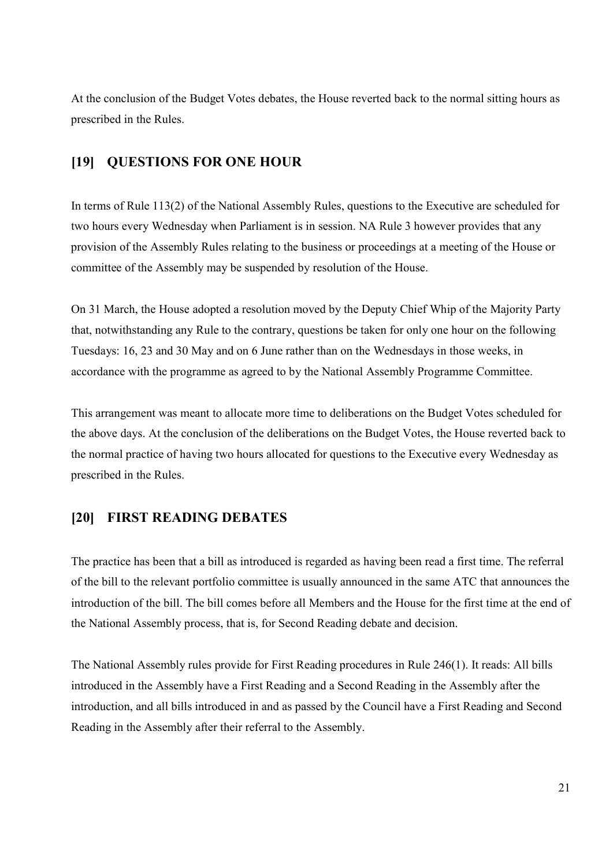At the conclusion of the Budget Votes debates, the House reverted back to the normal sitting hours as prescribed in the Rules.

### **[19] QUESTIONS FOR ONE HOUR**

In terms of Rule 113(2) of the National Assembly Rules, questions to the Executive are scheduled for two hours every Wednesday when Parliament is in session. NA Rule 3 however provides that any provision of the Assembly Rules relating to the business or proceedings at a meeting of the House or committee of the Assembly may be suspended by resolution of the House.

On 31 March, the House adopted a resolution moved by the Deputy Chief Whip of the Majority Party that, notwithstanding any Rule to the contrary, questions be taken for only one hour on the following Tuesdays: 16, 23 and 30 May and on 6 June rather than on the Wednesdays in those weeks, in accordance with the programme as agreed to by the National Assembly Programme Committee.

This arrangement was meant to allocate more time to deliberations on the Budget Votes scheduled for the above days. At the conclusion of the deliberations on the Budget Votes, the House reverted back to the normal practice of having two hours allocated for questions to the Executive every Wednesday as prescribed in the Rules.

### **[20] FIRST READING DEBATES**

The practice has been that a bill as introduced is regarded as having been read a first time. The referral of the bill to the relevant portfolio committee is usually announced in the same ATC that announces the introduction of the bill. The bill comes before all Members and the House for the first time at the end of the National Assembly process, that is, for Second Reading debate and decision.

The National Assembly rules provide for First Reading procedures in Rule 246(1). It reads: All bills introduced in the Assembly have a First Reading and a Second Reading in the Assembly after the introduction, and all bills introduced in and as passed by the Council have a First Reading and Second Reading in the Assembly after their referral to the Assembly.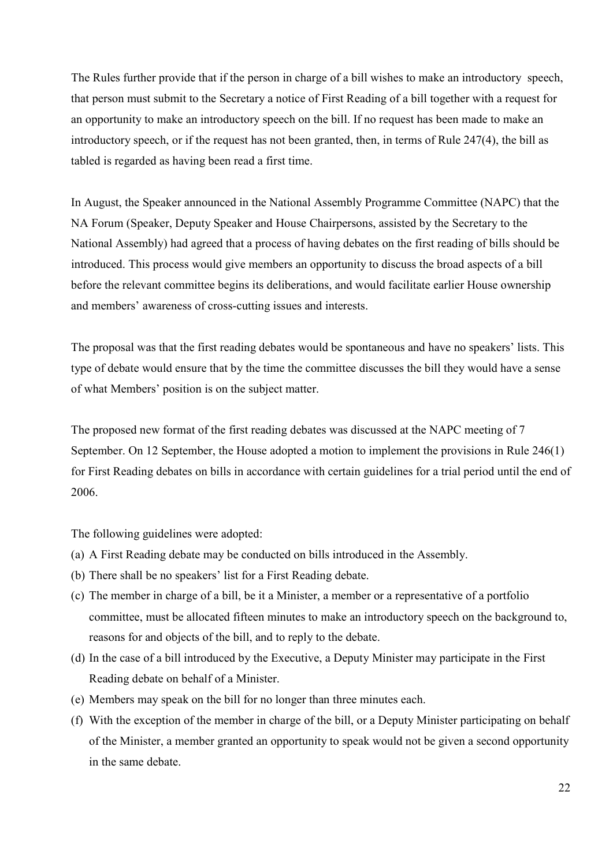The Rules further provide that if the person in charge of a bill wishes to make an introductory speech, that person must submit to the Secretary a notice of First Reading of a bill together with a request for an opportunity to make an introductory speech on the bill. If no request has been made to make an introductory speech, or if the request has not been granted, then, in terms of Rule 247(4), the bill as tabled is regarded as having been read a first time.

In August, the Speaker announced in the National Assembly Programme Committee (NAPC) that the NA Forum (Speaker, Deputy Speaker and House Chairpersons, assisted by the Secretary to the National Assembly) had agreed that a process of having debates on the first reading of bills should be introduced. This process would give members an opportunity to discuss the broad aspects of a bill before the relevant committee begins its deliberations, and would facilitate earlier House ownership and members' awareness of cross-cutting issues and interests.

The proposal was that the first reading debates would be spontaneous and have no speakers' lists. This type of debate would ensure that by the time the committee discusses the bill they would have a sense of what Members' position is on the subject matter.

The proposed new format of the first reading debates was discussed at the NAPC meeting of 7 September. On 12 September, the House adopted a motion to implement the provisions in Rule 246(1) for First Reading debates on bills in accordance with certain guidelines for a trial period until the end of 2006.

The following guidelines were adopted:

- (a) A First Reading debate may be conducted on bills introduced in the Assembly.
- (b) There shall be no speakers' list for a First Reading debate.
- (c) The member in charge of a bill, be it a Minister, a member or a representative of a portfolio committee, must be allocated fifteen minutes to make an introductory speech on the background to, reasons for and objects of the bill, and to reply to the debate.
- (d) In the case of a bill introduced by the Executive, a Deputy Minister may participate in the First Reading debate on behalf of a Minister.
- (e) Members may speak on the bill for no longer than three minutes each.
- (f) With the exception of the member in charge of the bill, or a Deputy Minister participating on behalf of the Minister, a member granted an opportunity to speak would not be given a second opportunity in the same debate.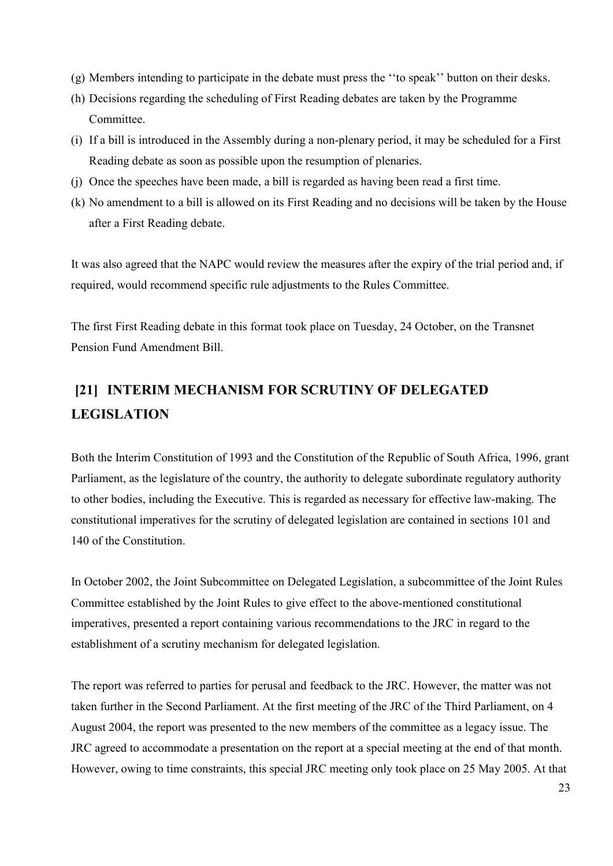- (g) Members intending to participate in the debate must press the ''to speak'' button on their desks.
- (h) Decisions regarding the scheduling of First Reading debates are taken by the Programme Committee.
- (i) If a bill is introduced in the Assembly during a non-plenary period, it may be scheduled for a First Reading debate as soon as possible upon the resumption of plenaries.
- (j) Once the speeches have been made, a bill is regarded as having been read a first time.
- (k) No amendment to a bill is allowed on its First Reading and no decisions will be taken by the House after a First Reading debate.

It was also agreed that the NAPC would review the measures after the expiry of the trial period and, if required, would recommend specific rule adjustments to the Rules Committee.

The first First Reading debate in this format took place on Tuesday, 24 October, on the Transnet Pension Fund Amendment Bill.

## **[21] INTERIM MECHANISM FOR SCRUTINY OF DELEGATED LEGISLATION**

Both the Interim Constitution of 1993 and the Constitution of the Republic of South Africa, 1996, grant Parliament, as the legislature of the country, the authority to delegate subordinate regulatory authority to other bodies, including the Executive. This is regarded as necessary for effective law-making. The constitutional imperatives for the scrutiny of delegated legislation are contained in sections 101 and 140 of the Constitution.

In October 2002, the Joint Subcommittee on Delegated Legislation, a subcommittee of the Joint Rules Committee established by the Joint Rules to give effect to the above-mentioned constitutional imperatives, presented a report containing various recommendations to the JRC in regard to the establishment of a scrutiny mechanism for delegated legislation.

The report was referred to parties for perusal and feedback to the JRC. However, the matter was not taken further in the Second Parliament. At the first meeting of the JRC of the Third Parliament, on 4 August 2004, the report was presented to the new members of the committee as a legacy issue. The JRC agreed to accommodate a presentation on the report at a special meeting at the end of that month. However, owing to time constraints, this special JRC meeting only took place on 25 May 2005. At that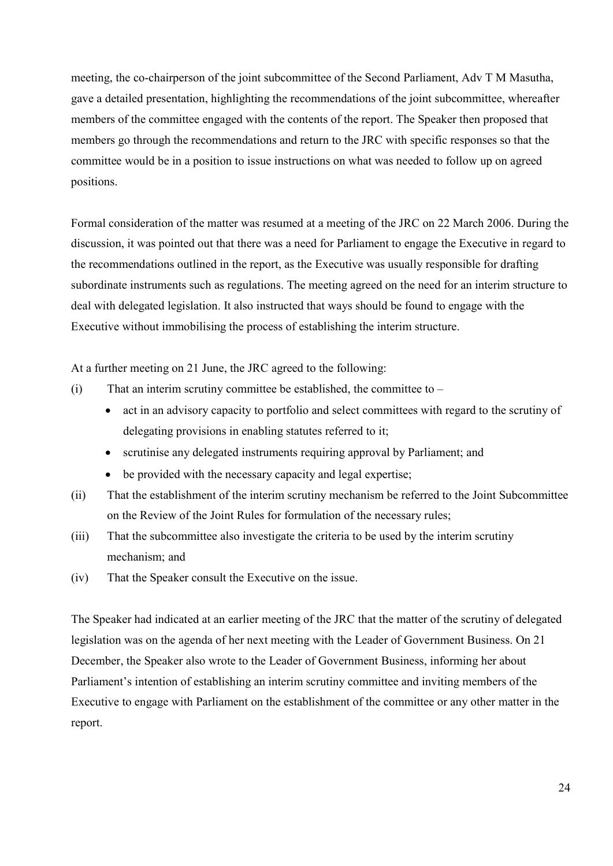meeting, the co-chairperson of the joint subcommittee of the Second Parliament, Adv T M Masutha, gave a detailed presentation, highlighting the recommendations of the joint subcommittee, whereafter members of the committee engaged with the contents of the report. The Speaker then proposed that members go through the recommendations and return to the JRC with specific responses so that the committee would be in a position to issue instructions on what was needed to follow up on agreed positions.

Formal consideration of the matter was resumed at a meeting of the JRC on 22 March 2006. During the discussion, it was pointed out that there was a need for Parliament to engage the Executive in regard to the recommendations outlined in the report, as the Executive was usually responsible for drafting subordinate instruments such as regulations. The meeting agreed on the need for an interim structure to deal with delegated legislation. It also instructed that ways should be found to engage with the Executive without immobilising the process of establishing the interim structure.

At a further meeting on 21 June, the JRC agreed to the following:

- $(i)$  That an interim scrutiny committee be established, the committee to
	- act in an advisory capacity to portfolio and select committees with regard to the scrutiny of delegating provisions in enabling statutes referred to it;
	- scrutinise any delegated instruments requiring approval by Parliament; and
	- be provided with the necessary capacity and legal expertise;
- (ii) That the establishment of the interim scrutiny mechanism be referred to the Joint Subcommittee on the Review of the Joint Rules for formulation of the necessary rules;
- (iii) That the subcommittee also investigate the criteria to be used by the interim scrutiny mechanism; and
- (iv) That the Speaker consult the Executive on the issue.

The Speaker had indicated at an earlier meeting of the JRC that the matter of the scrutiny of delegated legislation was on the agenda of her next meeting with the Leader of Government Business. On 21 December, the Speaker also wrote to the Leader of Government Business, informing her about Parliament's intention of establishing an interim scrutiny committee and inviting members of the Executive to engage with Parliament on the establishment of the committee or any other matter in the report.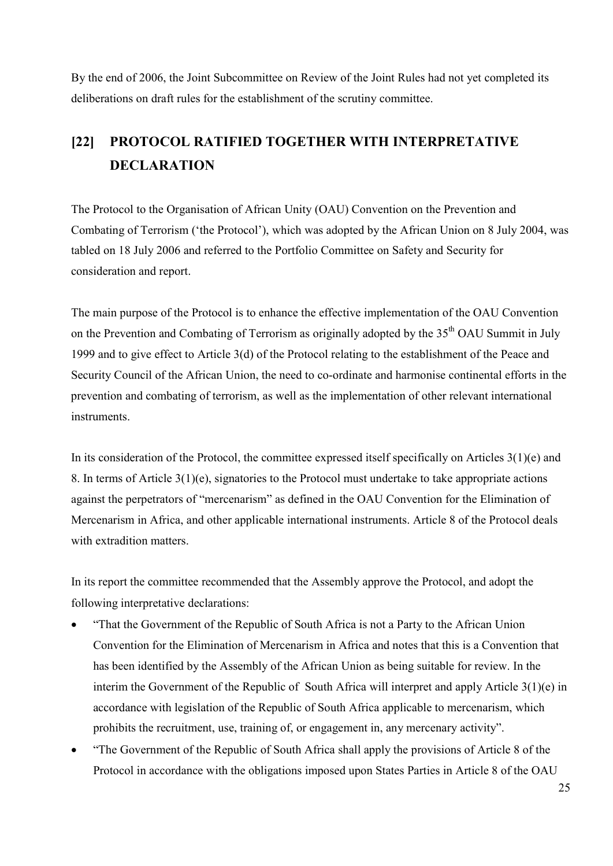By the end of 2006, the Joint Subcommittee on Review of the Joint Rules had not yet completed its deliberations on draft rules for the establishment of the scrutiny committee.

## **[22] PROTOCOL RATIFIED TOGETHER WITH INTERPRETATIVE DECLARATION**

The Protocol to the Organisation of African Unity (OAU) Convention on the Prevention and Combating of Terrorism ('the Protocol'), which was adopted by the African Union on 8 July 2004, was tabled on 18 July 2006 and referred to the Portfolio Committee on Safety and Security for consideration and report.

The main purpose of the Protocol is to enhance the effective implementation of the OAU Convention on the Prevention and Combating of Terrorism as originally adopted by the 35<sup>th</sup> OAU Summit in July 1999 and to give effect to Article 3(d) of the Protocol relating to the establishment of the Peace and Security Council of the African Union, the need to co-ordinate and harmonise continental efforts in the prevention and combating of terrorism, as well as the implementation of other relevant international instruments.

In its consideration of the Protocol, the committee expressed itself specifically on Articles 3(1)(e) and 8. In terms of Article 3(1)(e), signatories to the Protocol must undertake to take appropriate actions against the perpetrators of "mercenarism" as defined in the OAU Convention for the Elimination of Mercenarism in Africa, and other applicable international instruments. Article 8 of the Protocol deals with extradition matters.

In its report the committee recommended that the Assembly approve the Protocol, and adopt the following interpretative declarations:

- "That the Government of the Republic of South Africa is not a Party to the African Union Convention for the Elimination of Mercenarism in Africa and notes that this is a Convention that has been identified by the Assembly of the African Union as being suitable for review. In the interim the Government of the Republic of South Africa will interpret and apply Article 3(1)(e) in accordance with legislation of the Republic of South Africa applicable to mercenarism, which prohibits the recruitment, use, training of, or engagement in, any mercenary activity".
- "The Government of the Republic of South Africa shall apply the provisions of Article 8 of the Protocol in accordance with the obligations imposed upon States Parties in Article 8 of the OAU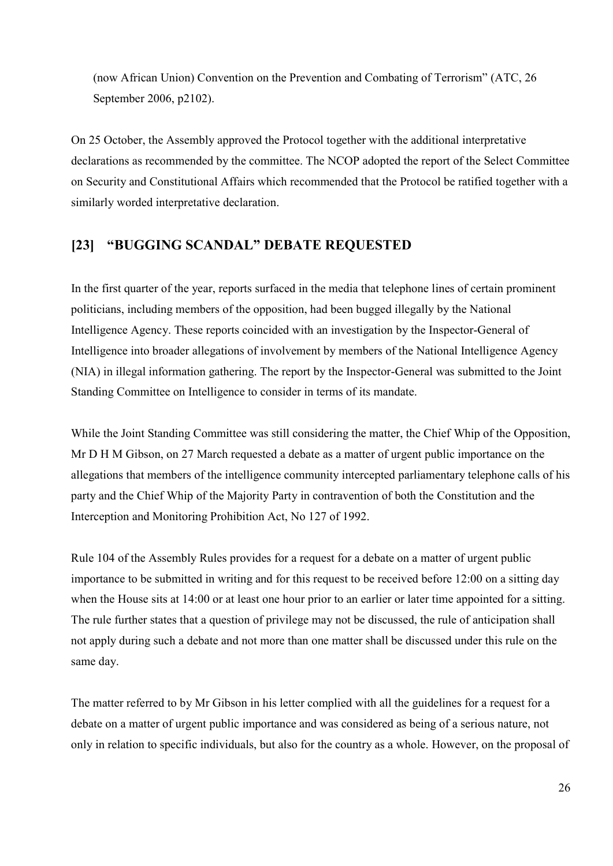(now African Union) Convention on the Prevention and Combating of Terrorism" (ATC, 26 September 2006, p2102).

On 25 October, the Assembly approved the Protocol together with the additional interpretative declarations as recommended by the committee. The NCOP adopted the report of the Select Committee on Security and Constitutional Affairs which recommended that the Protocol be ratified together with a similarly worded interpretative declaration.

### **[23] "BUGGING SCANDAL" DEBATE REQUESTED**

In the first quarter of the year, reports surfaced in the media that telephone lines of certain prominent politicians, including members of the opposition, had been bugged illegally by the National Intelligence Agency. These reports coincided with an investigation by the Inspector-General of Intelligence into broader allegations of involvement by members of the National Intelligence Agency (NIA) in illegal information gathering. The report by the Inspector-General was submitted to the Joint Standing Committee on Intelligence to consider in terms of its mandate.

While the Joint Standing Committee was still considering the matter, the Chief Whip of the Opposition, Mr D H M Gibson, on 27 March requested a debate as a matter of urgent public importance on the allegations that members of the intelligence community intercepted parliamentary telephone calls of his party and the Chief Whip of the Majority Party in contravention of both the Constitution and the Interception and Monitoring Prohibition Act, No 127 of 1992.

Rule 104 of the Assembly Rules provides for a request for a debate on a matter of urgent public importance to be submitted in writing and for this request to be received before 12:00 on a sitting day when the House sits at 14:00 or at least one hour prior to an earlier or later time appointed for a sitting. The rule further states that a question of privilege may not be discussed, the rule of anticipation shall not apply during such a debate and not more than one matter shall be discussed under this rule on the same day.

The matter referred to by Mr Gibson in his letter complied with all the guidelines for a request for a debate on a matter of urgent public importance and was considered as being of a serious nature, not only in relation to specific individuals, but also for the country as a whole. However, on the proposal of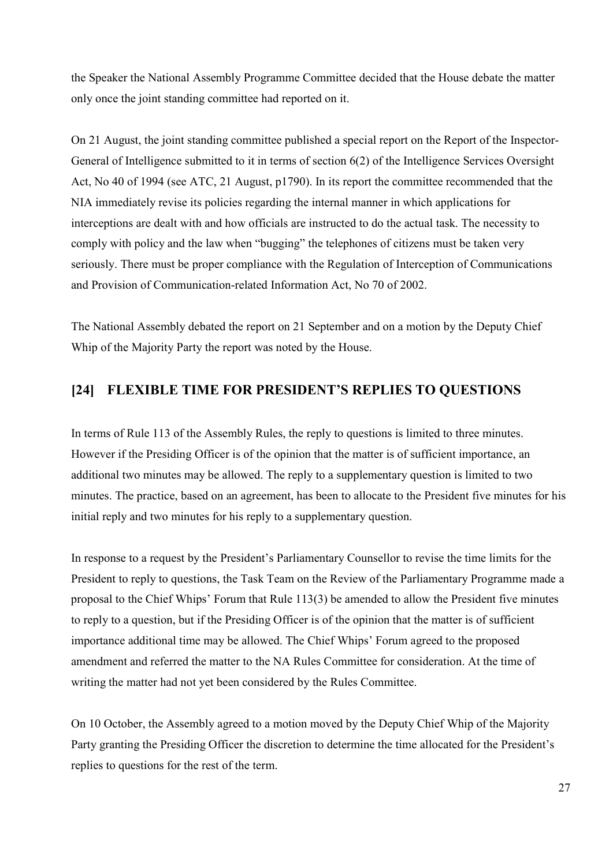the Speaker the National Assembly Programme Committee decided that the House debate the matter only once the joint standing committee had reported on it.

On 21 August, the joint standing committee published a special report on the Report of the Inspector-General of Intelligence submitted to it in terms of section 6(2) of the Intelligence Services Oversight Act, No 40 of 1994 (see ATC, 21 August, p1790). In its report the committee recommended that the NIA immediately revise its policies regarding the internal manner in which applications for interceptions are dealt with and how officials are instructed to do the actual task. The necessity to comply with policy and the law when "bugging" the telephones of citizens must be taken very seriously. There must be proper compliance with the Regulation of Interception of Communications and Provision of Communication-related Information Act, No 70 of 2002.

The National Assembly debated the report on 21 September and on a motion by the Deputy Chief Whip of the Majority Party the report was noted by the House.

### **[24] FLEXIBLE TIME FOR PRESIDENT'S REPLIES TO QUESTIONS**

In terms of Rule 113 of the Assembly Rules, the reply to questions is limited to three minutes. However if the Presiding Officer is of the opinion that the matter is of sufficient importance, an additional two minutes may be allowed. The reply to a supplementary question is limited to two minutes. The practice, based on an agreement, has been to allocate to the President five minutes for his initial reply and two minutes for his reply to a supplementary question.

In response to a request by the President's Parliamentary Counsellor to revise the time limits for the President to reply to questions, the Task Team on the Review of the Parliamentary Programme made a proposal to the Chief Whips' Forum that Rule 113(3) be amended to allow the President five minutes to reply to a question, but if the Presiding Officer is of the opinion that the matter is of sufficient importance additional time may be allowed. The Chief Whips' Forum agreed to the proposed amendment and referred the matter to the NA Rules Committee for consideration. At the time of writing the matter had not yet been considered by the Rules Committee.

On 10 October, the Assembly agreed to a motion moved by the Deputy Chief Whip of the Majority Party granting the Presiding Officer the discretion to determine the time allocated for the President's replies to questions for the rest of the term.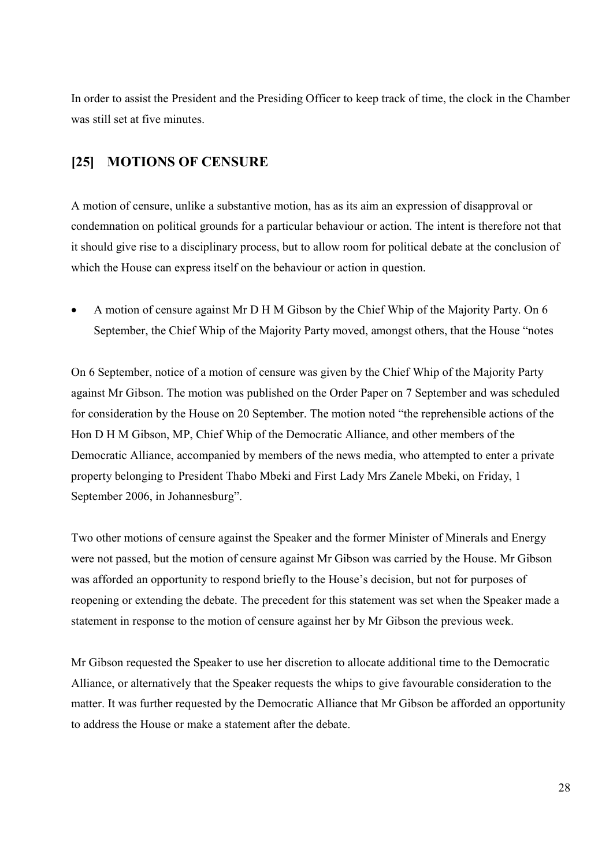In order to assist the President and the Presiding Officer to keep track of time, the clock in the Chamber was still set at five minutes.

### **[25] MOTIONS OF CENSURE**

A motion of censure, unlike a substantive motion, has as its aim an expression of disapproval or condemnation on political grounds for a particular behaviour or action. The intent is therefore not that it should give rise to a disciplinary process, but to allow room for political debate at the conclusion of which the House can express itself on the behaviour or action in question.

• A motion of censure against Mr D H M Gibson by the Chief Whip of the Majority Party. On 6 September, the Chief Whip of the Majority Party moved, amongst others, that the House "notes

On 6 September, notice of a motion of censure was given by the Chief Whip of the Majority Party against Mr Gibson. The motion was published on the Order Paper on 7 September and was scheduled for consideration by the House on 20 September. The motion noted "the reprehensible actions of the Hon D H M Gibson, MP, Chief Whip of the Democratic Alliance, and other members of the Democratic Alliance, accompanied by members of the news media, who attempted to enter a private property belonging to President Thabo Mbeki and First Lady Mrs Zanele Mbeki, on Friday, 1 September 2006, in Johannesburg".

Two other motions of censure against the Speaker and the former Minister of Minerals and Energy were not passed, but the motion of censure against Mr Gibson was carried by the House. Mr Gibson was afforded an opportunity to respond briefly to the House's decision, but not for purposes of reopening or extending the debate. The precedent for this statement was set when the Speaker made a statement in response to the motion of censure against her by Mr Gibson the previous week.

Mr Gibson requested the Speaker to use her discretion to allocate additional time to the Democratic Alliance, or alternatively that the Speaker requests the whips to give favourable consideration to the matter. It was further requested by the Democratic Alliance that Mr Gibson be afforded an opportunity to address the House or make a statement after the debate.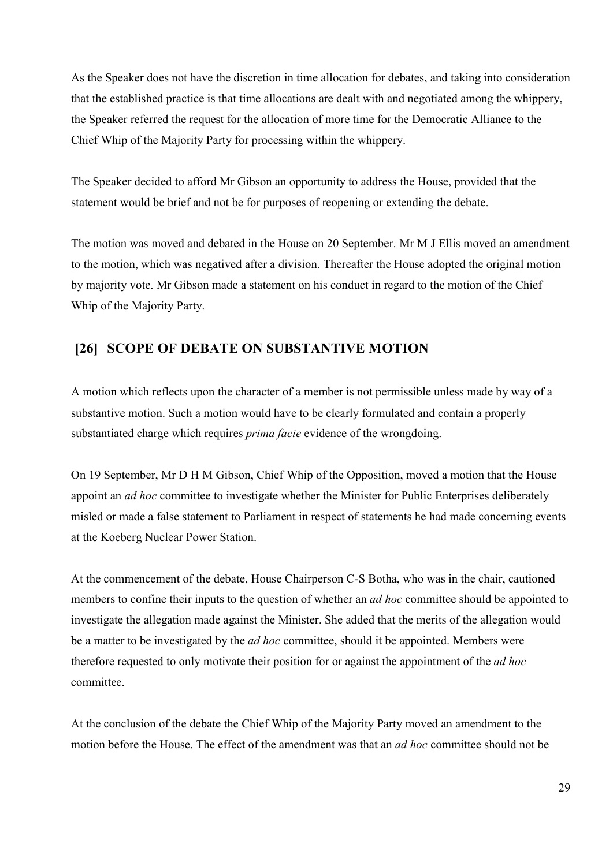As the Speaker does not have the discretion in time allocation for debates, and taking into consideration that the established practice is that time allocations are dealt with and negotiated among the whippery, the Speaker referred the request for the allocation of more time for the Democratic Alliance to the Chief Whip of the Majority Party for processing within the whippery.

The Speaker decided to afford Mr Gibson an opportunity to address the House, provided that the statement would be brief and not be for purposes of reopening or extending the debate.

The motion was moved and debated in the House on 20 September. Mr M J Ellis moved an amendment to the motion, which was negatived after a division. Thereafter the House adopted the original motion by majority vote. Mr Gibson made a statement on his conduct in regard to the motion of the Chief Whip of the Majority Party.

### **[26] SCOPE OF DEBATE ON SUBSTANTIVE MOTION**

A motion which reflects upon the character of a member is not permissible unless made by way of a substantive motion. Such a motion would have to be clearly formulated and contain a properly substantiated charge which requires *prima facie* evidence of the wrongdoing.

On 19 September, Mr D H M Gibson, Chief Whip of the Opposition, moved a motion that the House appoint an *ad hoc* committee to investigate whether the Minister for Public Enterprises deliberately misled or made a false statement to Parliament in respect of statements he had made concerning events at the Koeberg Nuclear Power Station.

At the commencement of the debate, House Chairperson C-S Botha, who was in the chair, cautioned members to confine their inputs to the question of whether an *ad hoc* committee should be appointed to investigate the allegation made against the Minister. She added that the merits of the allegation would be a matter to be investigated by the *ad hoc* committee, should it be appointed. Members were therefore requested to only motivate their position for or against the appointment of the *ad hoc* committee.

At the conclusion of the debate the Chief Whip of the Majority Party moved an amendment to the motion before the House. The effect of the amendment was that an *ad hoc* committee should not be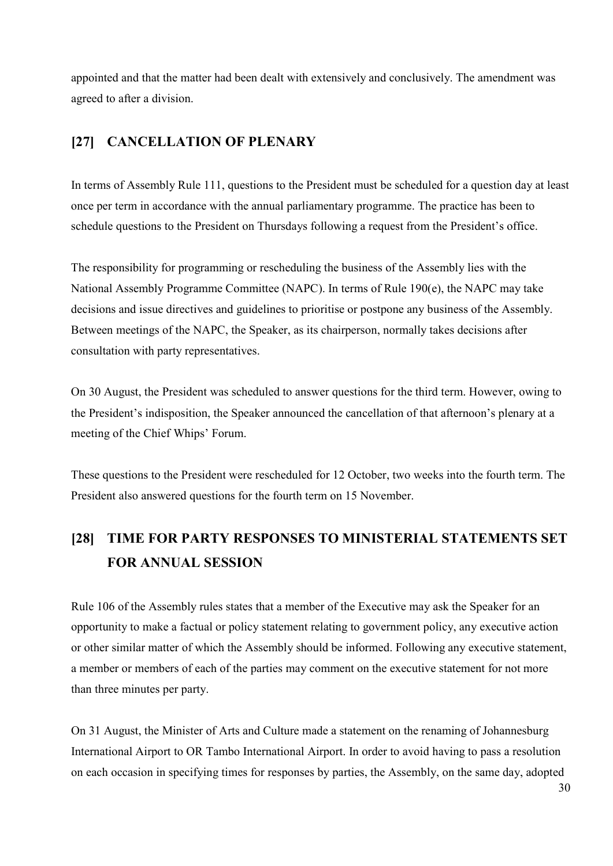appointed and that the matter had been dealt with extensively and conclusively. The amendment was agreed to after a division.

### **[27] CANCELLATION OF PLENARY**

In terms of Assembly Rule 111, questions to the President must be scheduled for a question day at least once per term in accordance with the annual parliamentary programme. The practice has been to schedule questions to the President on Thursdays following a request from the President's office.

The responsibility for programming or rescheduling the business of the Assembly lies with the National Assembly Programme Committee (NAPC). In terms of Rule 190(e), the NAPC may take decisions and issue directives and guidelines to prioritise or postpone any business of the Assembly. Between meetings of the NAPC, the Speaker, as its chairperson, normally takes decisions after consultation with party representatives.

On 30 August, the President was scheduled to answer questions for the third term. However, owing to the President's indisposition, the Speaker announced the cancellation of that afternoon's plenary at a meeting of the Chief Whips' Forum.

These questions to the President were rescheduled for 12 October, two weeks into the fourth term. The President also answered questions for the fourth term on 15 November.

## **[28] TIME FOR PARTY RESPONSES TO MINISTERIAL STATEMENTS SET FOR ANNUAL SESSION**

Rule 106 of the Assembly rules states that a member of the Executive may ask the Speaker for an opportunity to make a factual or policy statement relating to government policy, any executive action or other similar matter of which the Assembly should be informed. Following any executive statement, a member or members of each of the parties may comment on the executive statement for not more than three minutes per party.

On 31 August, the Minister of Arts and Culture made a statement on the renaming of Johannesburg International Airport to OR Tambo International Airport. In order to avoid having to pass a resolution on each occasion in specifying times for responses by parties, the Assembly, on the same day, adopted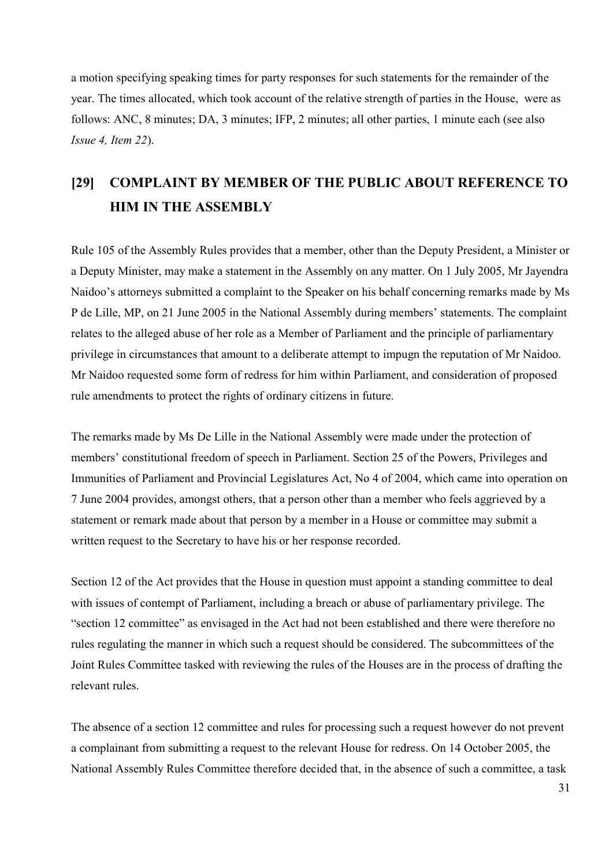a motion specifying speaking times for party responses for such statements for the remainder of the year. The times allocated, which took account of the relative strength of parties in the House, were as follows: ANC, 8 minutes; DA, 3 minutes; IFP, 2 minutes; all other parties, 1 minute each (see also *Issue 4, Item 22*).

## **[29] COMPLAINT BY MEMBER OF THE PUBLIC ABOUT REFERENCE TO HIM IN THE ASSEMBLY**

Rule 105 of the Assembly Rules provides that a member, other than the Deputy President, a Minister or a Deputy Minister, may make a statement in the Assembly on any matter. On 1 July 2005, Mr Jayendra Naidoo's attorneys submitted a complaint to the Speaker on his behalf concerning remarks made by Ms P de Lille, MP, on 21 June 2005 in the National Assembly during members' statements. The complaint relates to the alleged abuse of her role as a Member of Parliament and the principle of parliamentary privilege in circumstances that amount to a deliberate attempt to impugn the reputation of Mr Naidoo. Mr Naidoo requested some form of redress for him within Parliament, and consideration of proposed rule amendments to protect the rights of ordinary citizens in future.

The remarks made by Ms De Lille in the National Assembly were made under the protection of members' constitutional freedom of speech in Parliament. Section 25 of the Powers, Privileges and Immunities of Parliament and Provincial Legislatures Act, No 4 of 2004, which came into operation on 7 June 2004 provides, amongst others, that a person other than a member who feels aggrieved by a statement or remark made about that person by a member in a House or committee may submit a written request to the Secretary to have his or her response recorded.

Section 12 of the Act provides that the House in question must appoint a standing committee to deal with issues of contempt of Parliament, including a breach or abuse of parliamentary privilege. The "section 12 committee" as envisaged in the Act had not been established and there were therefore no rules regulating the manner in which such a request should be considered. The subcommittees of the Joint Rules Committee tasked with reviewing the rules of the Houses are in the process of drafting the relevant rules.

The absence of a section 12 committee and rules for processing such a request however do not prevent a complainant from submitting a request to the relevant House for redress. On 14 October 2005, the National Assembly Rules Committee therefore decided that, in the absence of such a committee, a task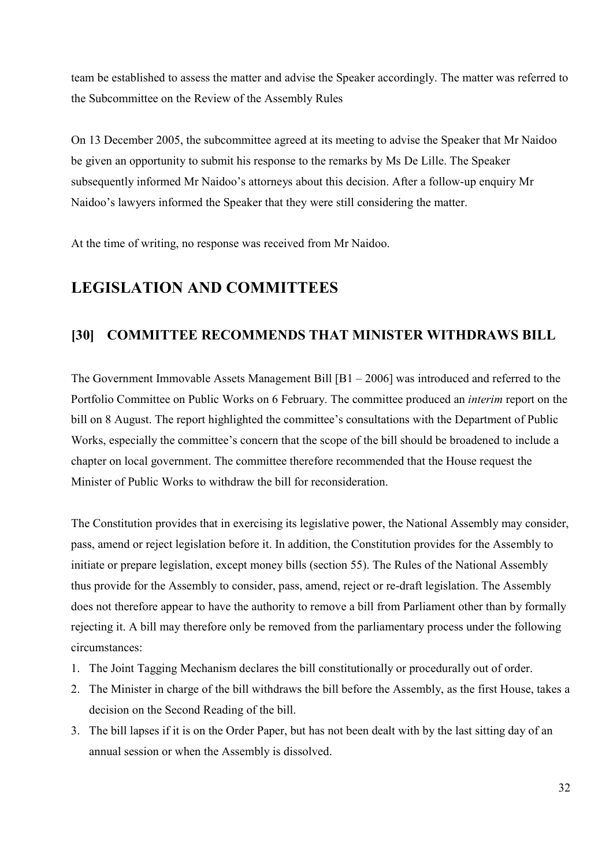team be established to assess the matter and advise the Speaker accordingly. The matter was referred to the Subcommittee on the Review of the Assembly Rules

On 13 December 2005, the subcommittee agreed at its meeting to advise the Speaker that Mr Naidoo be given an opportunity to submit his response to the remarks by Ms De Lille. The Speaker subsequently informed Mr Naidoo's attorneys about this decision. After a follow-up enquiry Mr Naidoo's lawyers informed the Speaker that they were still considering the matter.

At the time of writing, no response was received from Mr Naidoo.

## **LEGISLATION AND COMMITTEES**

### **[30] COMMITTEE RECOMMENDS THAT MINISTER WITHDRAWS BILL**

The Government Immovable Assets Management Bill [B1 – 2006] was introduced and referred to the Portfolio Committee on Public Works on 6 February. The committee produced an *interim* report on the bill on 8 August. The report highlighted the committee's consultations with the Department of Public Works, especially the committee's concern that the scope of the bill should be broadened to include a chapter on local government. The committee therefore recommended that the House request the Minister of Public Works to withdraw the bill for reconsideration.

The Constitution provides that in exercising its legislative power, the National Assembly may consider, pass, amend or reject legislation before it. In addition, the Constitution provides for the Assembly to initiate or prepare legislation, except money bills (section 55). The Rules of the National Assembly thus provide for the Assembly to consider, pass, amend, reject or re-draft legislation. The Assembly does not therefore appear to have the authority to remove a bill from Parliament other than by formally rejecting it. A bill may therefore only be removed from the parliamentary process under the following circumstances:

- 1. The Joint Tagging Mechanism declares the bill constitutionally or procedurally out of order.
- 2. The Minister in charge of the bill withdraws the bill before the Assembly, as the first House, takes a decision on the Second Reading of the bill.
- 3. The bill lapses if it is on the Order Paper, but has not been dealt with by the last sitting day of an annual session or when the Assembly is dissolved.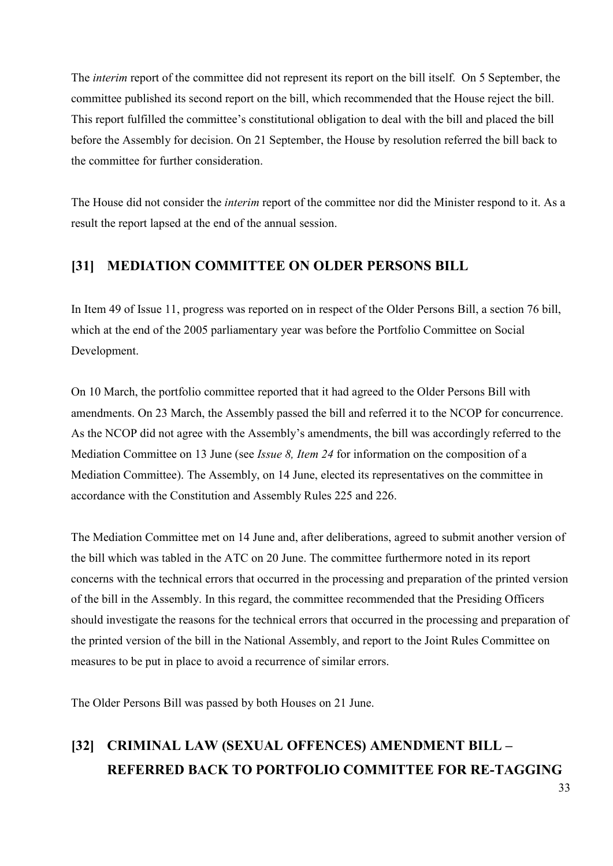The *interim* report of the committee did not represent its report on the bill itself. On 5 September, the committee published its second report on the bill, which recommended that the House reject the bill. This report fulfilled the committee's constitutional obligation to deal with the bill and placed the bill before the Assembly for decision. On 21 September, the House by resolution referred the bill back to the committee for further consideration.

The House did not consider the *interim* report of the committee nor did the Minister respond to it. As a result the report lapsed at the end of the annual session.

### **[31] MEDIATION COMMITTEE ON OLDER PERSONS BILL**

In Item 49 of Issue 11, progress was reported on in respect of the Older Persons Bill, a section 76 bill, which at the end of the 2005 parliamentary year was before the Portfolio Committee on Social Development.

On 10 March, the portfolio committee reported that it had agreed to the Older Persons Bill with amendments. On 23 March, the Assembly passed the bill and referred it to the NCOP for concurrence. As the NCOP did not agree with the Assembly's amendments, the bill was accordingly referred to the Mediation Committee on 13 June (see *Issue 8, Item 24* for information on the composition of a Mediation Committee). The Assembly, on 14 June, elected its representatives on the committee in accordance with the Constitution and Assembly Rules 225 and 226.

The Mediation Committee met on 14 June and, after deliberations, agreed to submit another version of the bill which was tabled in the ATC on 20 June. The committee furthermore noted in its report concerns with the technical errors that occurred in the processing and preparation of the printed version of the bill in the Assembly. In this regard, the committee recommended that the Presiding Officers should investigate the reasons for the technical errors that occurred in the processing and preparation of the printed version of the bill in the National Assembly, and report to the Joint Rules Committee on measures to be put in place to avoid a recurrence of similar errors.

The Older Persons Bill was passed by both Houses on 21 June.

# **[32] CRIMINAL LAW (SEXUAL OFFENCES) AMENDMENT BILL – REFERRED BACK TO PORTFOLIO COMMITTEE FOR RE-TAGGING**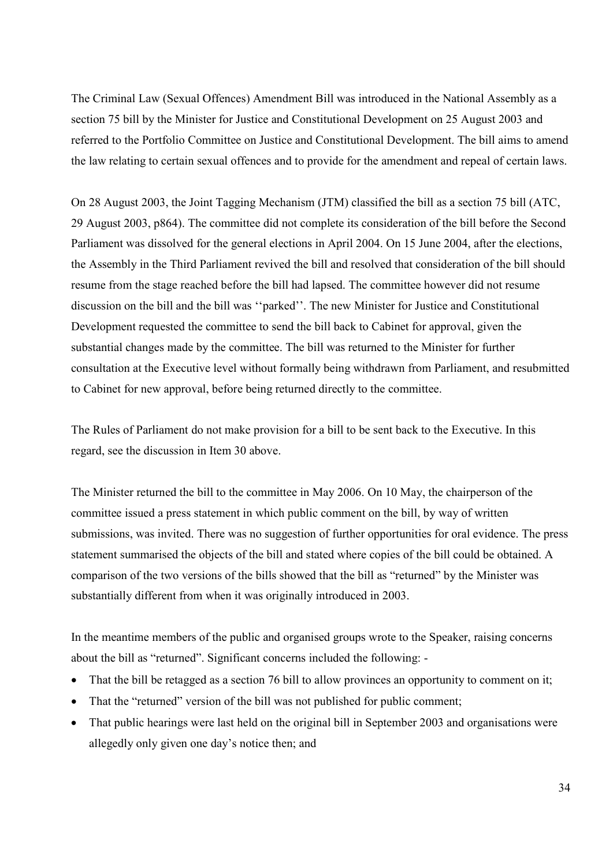The Criminal Law (Sexual Offences) Amendment Bill was introduced in the National Assembly as a section 75 bill by the Minister for Justice and Constitutional Development on 25 August 2003 and referred to the Portfolio Committee on Justice and Constitutional Development. The bill aims to amend the law relating to certain sexual offences and to provide for the amendment and repeal of certain laws.

On 28 August 2003, the Joint Tagging Mechanism (JTM) classified the bill as a section 75 bill (ATC, 29 August 2003, p864). The committee did not complete its consideration of the bill before the Second Parliament was dissolved for the general elections in April 2004. On 15 June 2004, after the elections, the Assembly in the Third Parliament revived the bill and resolved that consideration of the bill should resume from the stage reached before the bill had lapsed. The committee however did not resume discussion on the bill and the bill was ''parked''. The new Minister for Justice and Constitutional Development requested the committee to send the bill back to Cabinet for approval, given the substantial changes made by the committee. The bill was returned to the Minister for further consultation at the Executive level without formally being withdrawn from Parliament, and resubmitted to Cabinet for new approval, before being returned directly to the committee.

The Rules of Parliament do not make provision for a bill to be sent back to the Executive. In this regard, see the discussion in Item 30 above.

The Minister returned the bill to the committee in May 2006. On 10 May, the chairperson of the committee issued a press statement in which public comment on the bill, by way of written submissions, was invited. There was no suggestion of further opportunities for oral evidence. The press statement summarised the objects of the bill and stated where copies of the bill could be obtained. A comparison of the two versions of the bills showed that the bill as "returned" by the Minister was substantially different from when it was originally introduced in 2003.

In the meantime members of the public and organised groups wrote to the Speaker, raising concerns about the bill as "returned". Significant concerns included the following: -

- That the bill be retagged as a section 76 bill to allow provinces an opportunity to comment on it;
- That the "returned" version of the bill was not published for public comment;
- That public hearings were last held on the original bill in September 2003 and organisations were allegedly only given one day's notice then; and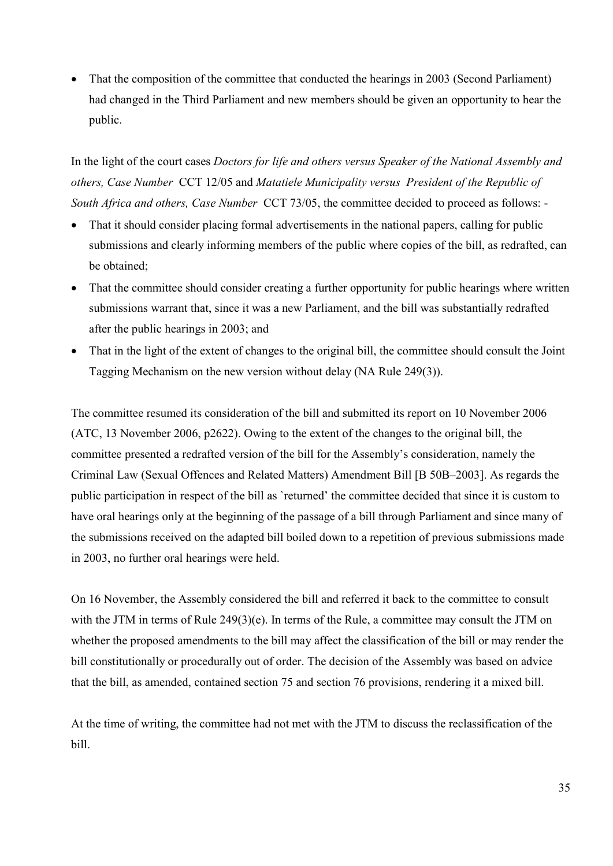• That the composition of the committee that conducted the hearings in 2003 (Second Parliament) had changed in the Third Parliament and new members should be given an opportunity to hear the public.

In the light of the court cases *Doctors for life and others versus Speaker of the National Assembly and others, Case Number* CCT 12/05 and *Matatiele Municipality versus President of the Republic of South Africa and others, Case Number* CCT 73/05, the committee decided to proceed as follows: -

- That it should consider placing formal advertisements in the national papers, calling for public submissions and clearly informing members of the public where copies of the bill, as redrafted, can be obtained;
- That the committee should consider creating a further opportunity for public hearings where written submissions warrant that, since it was a new Parliament, and the bill was substantially redrafted after the public hearings in 2003; and
- That in the light of the extent of changes to the original bill, the committee should consult the Joint Tagging Mechanism on the new version without delay (NA Rule 249(3)).

The committee resumed its consideration of the bill and submitted its report on 10 November 2006 (ATC, 13 November 2006, p2622). Owing to the extent of the changes to the original bill, the committee presented a redrafted version of the bill for the Assembly's consideration, namely the Criminal Law (Sexual Offences and Related Matters) Amendment Bill [B 50B–2003]. As regards the public participation in respect of the bill as `returned' the committee decided that since it is custom to have oral hearings only at the beginning of the passage of a bill through Parliament and since many of the submissions received on the adapted bill boiled down to a repetition of previous submissions made in 2003, no further oral hearings were held.

On 16 November, the Assembly considered the bill and referred it back to the committee to consult with the JTM in terms of Rule 249(3)(e). In terms of the Rule, a committee may consult the JTM on whether the proposed amendments to the bill may affect the classification of the bill or may render the bill constitutionally or procedurally out of order. The decision of the Assembly was based on advice that the bill, as amended, contained section 75 and section 76 provisions, rendering it a mixed bill.

At the time of writing, the committee had not met with the JTM to discuss the reclassification of the bill.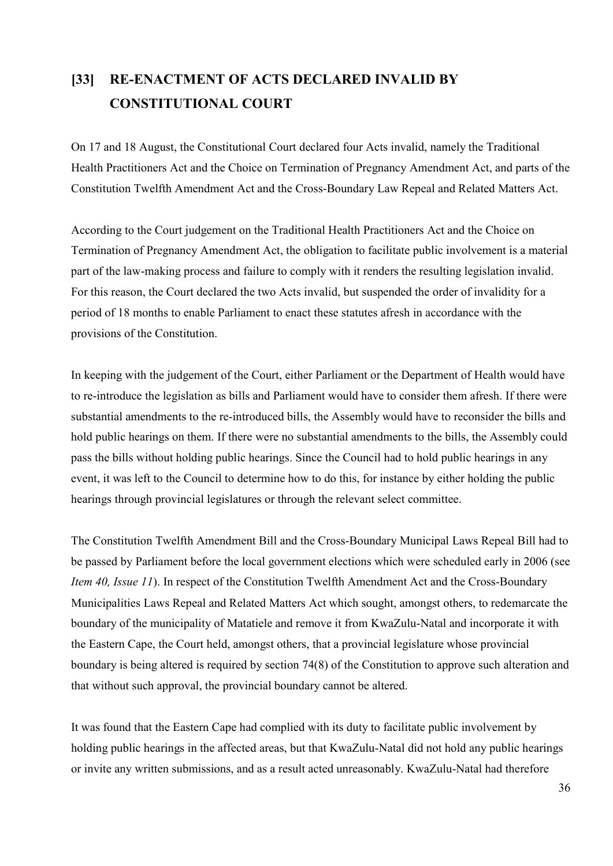## **[33] RE-ENACTMENT OF ACTS DECLARED INVALID BY CONSTITUTIONAL COURT**

On 17 and 18 August, the Constitutional Court declared four Acts invalid, namely the Traditional Health Practitioners Act and the Choice on Termination of Pregnancy Amendment Act, and parts of the Constitution Twelfth Amendment Act and the Cross-Boundary Law Repeal and Related Matters Act.

According to the Court judgement on the Traditional Health Practitioners Act and the Choice on Termination of Pregnancy Amendment Act, the obligation to facilitate public involvement is a material part of the law-making process and failure to comply with it renders the resulting legislation invalid. For this reason, the Court declared the two Acts invalid, but suspended the order of invalidity for a period of 18 months to enable Parliament to enact these statutes afresh in accordance with the provisions of the Constitution.

In keeping with the judgement of the Court, either Parliament or the Department of Health would have to re-introduce the legislation as bills and Parliament would have to consider them afresh. If there were substantial amendments to the re-introduced bills, the Assembly would have to reconsider the bills and hold public hearings on them. If there were no substantial amendments to the bills, the Assembly could pass the bills without holding public hearings. Since the Council had to hold public hearings in any event, it was left to the Council to determine how to do this, for instance by either holding the public hearings through provincial legislatures or through the relevant select committee.

The Constitution Twelfth Amendment Bill and the Cross-Boundary Municipal Laws Repeal Bill had to be passed by Parliament before the local government elections which were scheduled early in 2006 (see *Item 40, Issue 11*). In respect of the Constitution Twelfth Amendment Act and the Cross-Boundary Municipalities Laws Repeal and Related Matters Act which sought, amongst others, to redemarcate the boundary of the municipality of Matatiele and remove it from KwaZulu-Natal and incorporate it with the Eastern Cape, the Court held, amongst others, that a provincial legislature whose provincial boundary is being altered is required by section 74(8) of the Constitution to approve such alteration and that without such approval, the provincial boundary cannot be altered.

It was found that the Eastern Cape had complied with its duty to facilitate public involvement by holding public hearings in the affected areas, but that KwaZulu-Natal did not hold any public hearings or invite any written submissions, and as a result acted unreasonably. KwaZulu-Natal had therefore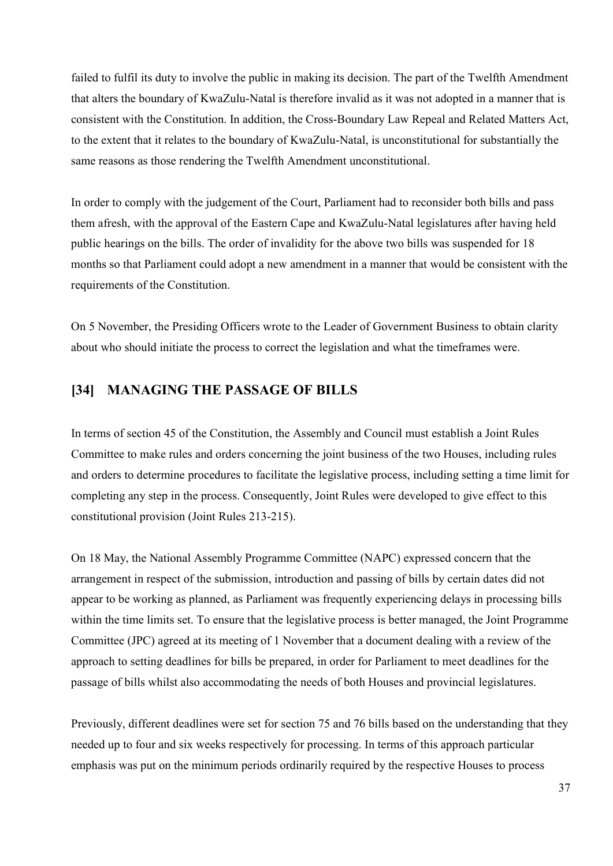failed to fulfil its duty to involve the public in making its decision. The part of the Twelfth Amendment that alters the boundary of KwaZulu-Natal is therefore invalid as it was not adopted in a manner that is consistent with the Constitution. In addition, the Cross-Boundary Law Repeal and Related Matters Act, to the extent that it relates to the boundary of KwaZulu-Natal, is unconstitutional for substantially the same reasons as those rendering the Twelfth Amendment unconstitutional.

In order to comply with the judgement of the Court, Parliament had to reconsider both bills and pass them afresh, with the approval of the Eastern Cape and KwaZulu-Natal legislatures after having held public hearings on the bills. The order of invalidity for the above two bills was suspended for 18 months so that Parliament could adopt a new amendment in a manner that would be consistent with the requirements of the Constitution.

On 5 November, the Presiding Officers wrote to the Leader of Government Business to obtain clarity about who should initiate the process to correct the legislation and what the timeframes were.

### **[34] MANAGING THE PASSAGE OF BILLS**

In terms of section 45 of the Constitution, the Assembly and Council must establish a Joint Rules Committee to make rules and orders concerning the joint business of the two Houses, including rules and orders to determine procedures to facilitate the legislative process, including setting a time limit for completing any step in the process. Consequently, Joint Rules were developed to give effect to this constitutional provision (Joint Rules 213-215).

On 18 May, the National Assembly Programme Committee (NAPC) expressed concern that the arrangement in respect of the submission, introduction and passing of bills by certain dates did not appear to be working as planned, as Parliament was frequently experiencing delays in processing bills within the time limits set. To ensure that the legislative process is better managed, the Joint Programme Committee (JPC) agreed at its meeting of 1 November that a document dealing with a review of the approach to setting deadlines for bills be prepared, in order for Parliament to meet deadlines for the passage of bills whilst also accommodating the needs of both Houses and provincial legislatures.

Previously, different deadlines were set for section 75 and 76 bills based on the understanding that they needed up to four and six weeks respectively for processing. In terms of this approach particular emphasis was put on the minimum periods ordinarily required by the respective Houses to process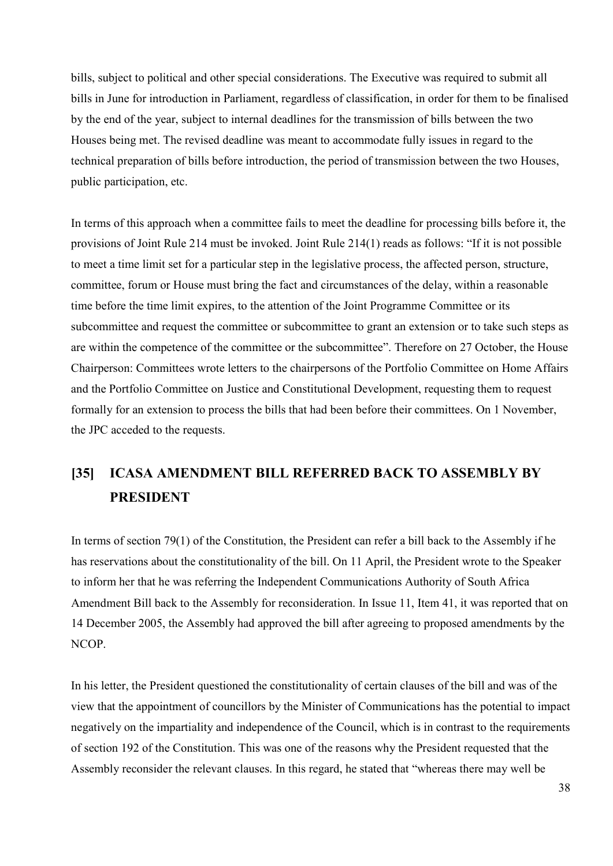bills, subject to political and other special considerations. The Executive was required to submit all bills in June for introduction in Parliament, regardless of classification, in order for them to be finalised by the end of the year, subject to internal deadlines for the transmission of bills between the two Houses being met. The revised deadline was meant to accommodate fully issues in regard to the technical preparation of bills before introduction, the period of transmission between the two Houses, public participation, etc.

In terms of this approach when a committee fails to meet the deadline for processing bills before it, the provisions of Joint Rule 214 must be invoked. Joint Rule 214(1) reads as follows: "If it is not possible to meet a time limit set for a particular step in the legislative process, the affected person, structure, committee, forum or House must bring the fact and circumstances of the delay, within a reasonable time before the time limit expires, to the attention of the Joint Programme Committee or its subcommittee and request the committee or subcommittee to grant an extension or to take such steps as are within the competence of the committee or the subcommittee". Therefore on 27 October, the House Chairperson: Committees wrote letters to the chairpersons of the Portfolio Committee on Home Affairs and the Portfolio Committee on Justice and Constitutional Development, requesting them to request formally for an extension to process the bills that had been before their committees. On 1 November, the JPC acceded to the requests.

## **[35] ICASA AMENDMENT BILL REFERRED BACK TO ASSEMBLY BY PRESIDENT**

In terms of section 79(1) of the Constitution, the President can refer a bill back to the Assembly if he has reservations about the constitutionality of the bill. On 11 April, the President wrote to the Speaker to inform her that he was referring the Independent Communications Authority of South Africa Amendment Bill back to the Assembly for reconsideration. In Issue 11, Item 41, it was reported that on 14 December 2005, the Assembly had approved the bill after agreeing to proposed amendments by the NCOP.

In his letter, the President questioned the constitutionality of certain clauses of the bill and was of the view that the appointment of councillors by the Minister of Communications has the potential to impact negatively on the impartiality and independence of the Council, which is in contrast to the requirements of section 192 of the Constitution. This was one of the reasons why the President requested that the Assembly reconsider the relevant clauses. In this regard, he stated that "whereas there may well be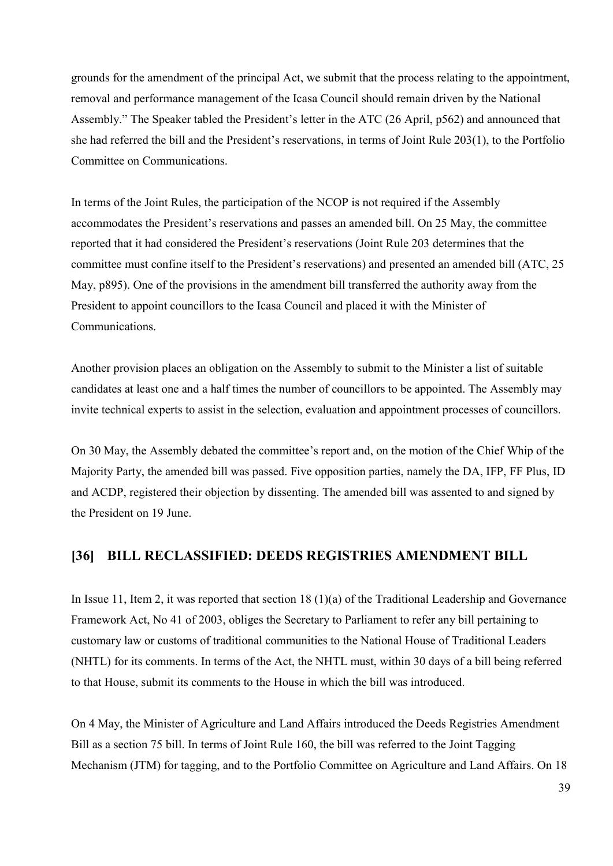grounds for the amendment of the principal Act, we submit that the process relating to the appointment, removal and performance management of the Icasa Council should remain driven by the National Assembly." The Speaker tabled the President's letter in the ATC (26 April, p562) and announced that she had referred the bill and the President's reservations, in terms of Joint Rule 203(1), to the Portfolio Committee on Communications.

In terms of the Joint Rules, the participation of the NCOP is not required if the Assembly accommodates the President's reservations and passes an amended bill. On 25 May, the committee reported that it had considered the President's reservations (Joint Rule 203 determines that the committee must confine itself to the President's reservations) and presented an amended bill (ATC, 25 May, p895). One of the provisions in the amendment bill transferred the authority away from the President to appoint councillors to the Icasa Council and placed it with the Minister of Communications.

Another provision places an obligation on the Assembly to submit to the Minister a list of suitable candidates at least one and a half times the number of councillors to be appointed. The Assembly may invite technical experts to assist in the selection, evaluation and appointment processes of councillors.

On 30 May, the Assembly debated the committee's report and, on the motion of the Chief Whip of the Majority Party, the amended bill was passed. Five opposition parties, namely the DA, IFP, FF Plus, ID and ACDP, registered their objection by dissenting. The amended bill was assented to and signed by the President on 19 June.

#### **[36] BILL RECLASSIFIED: DEEDS REGISTRIES AMENDMENT BILL**

In Issue 11, Item 2, it was reported that section 18 (1)(a) of the Traditional Leadership and Governance Framework Act, No 41 of 2003, obliges the Secretary to Parliament to refer any bill pertaining to customary law or customs of traditional communities to the National House of Traditional Leaders (NHTL) for its comments. In terms of the Act, the NHTL must, within 30 days of a bill being referred to that House, submit its comments to the House in which the bill was introduced.

On 4 May, the Minister of Agriculture and Land Affairs introduced the Deeds Registries Amendment Bill as a section 75 bill. In terms of Joint Rule 160, the bill was referred to the Joint Tagging Mechanism (JTM) for tagging, and to the Portfolio Committee on Agriculture and Land Affairs. On 18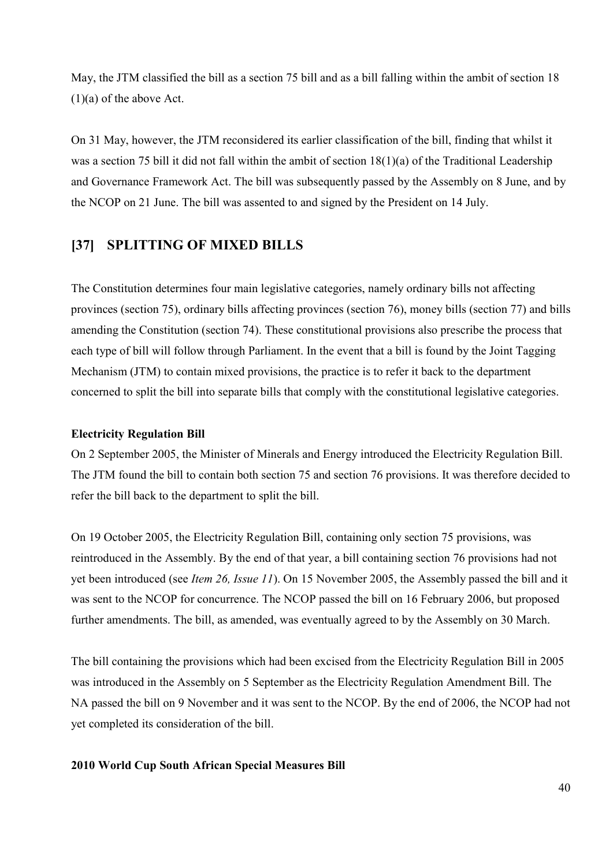May, the JTM classified the bill as a section 75 bill and as a bill falling within the ambit of section 18 (1)(a) of the above Act.

On 31 May, however, the JTM reconsidered its earlier classification of the bill, finding that whilst it was a section 75 bill it did not fall within the ambit of section  $18(1)(a)$  of the Traditional Leadership and Governance Framework Act. The bill was subsequently passed by the Assembly on 8 June, and by the NCOP on 21 June. The bill was assented to and signed by the President on 14 July.

### **[37] SPLITTING OF MIXED BILLS**

The Constitution determines four main legislative categories, namely ordinary bills not affecting provinces (section 75), ordinary bills affecting provinces (section 76), money bills (section 77) and bills amending the Constitution (section 74). These constitutional provisions also prescribe the process that each type of bill will follow through Parliament. In the event that a bill is found by the Joint Tagging Mechanism (JTM) to contain mixed provisions, the practice is to refer it back to the department concerned to split the bill into separate bills that comply with the constitutional legislative categories.

#### **Electricity Regulation Bill**

On 2 September 2005, the Minister of Minerals and Energy introduced the Electricity Regulation Bill. The JTM found the bill to contain both section 75 and section 76 provisions. It was therefore decided to refer the bill back to the department to split the bill.

On 19 October 2005, the Electricity Regulation Bill, containing only section 75 provisions, was reintroduced in the Assembly. By the end of that year, a bill containing section 76 provisions had not yet been introduced (see *Item 26, Issue 11*). On 15 November 2005, the Assembly passed the bill and it was sent to the NCOP for concurrence. The NCOP passed the bill on 16 February 2006, but proposed further amendments. The bill, as amended, was eventually agreed to by the Assembly on 30 March.

The bill containing the provisions which had been excised from the Electricity Regulation Bill in 2005 was introduced in the Assembly on 5 September as the Electricity Regulation Amendment Bill. The NA passed the bill on 9 November and it was sent to the NCOP. By the end of 2006, the NCOP had not yet completed its consideration of the bill.

#### **2010 World Cup South African Special Measures Bill**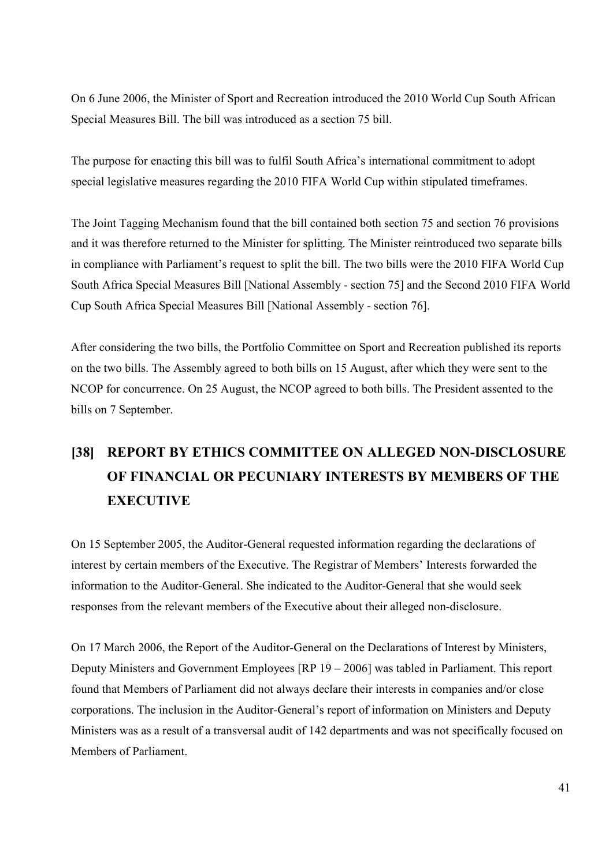On 6 June 2006, the Minister of Sport and Recreation introduced the 2010 World Cup South African Special Measures Bill. The bill was introduced as a section 75 bill.

The purpose for enacting this bill was to fulfil South Africa's international commitment to adopt special legislative measures regarding the 2010 FIFA World Cup within stipulated timeframes.

The Joint Tagging Mechanism found that the bill contained both section 75 and section 76 provisions and it was therefore returned to the Minister for splitting. The Minister reintroduced two separate bills in compliance with Parliament's request to split the bill. The two bills were the 2010 FIFA World Cup South Africa Special Measures Bill [National Assembly - section 75] and the Second 2010 FIFA World Cup South Africa Special Measures Bill [National Assembly - section 76].

After considering the two bills, the Portfolio Committee on Sport and Recreation published its reports on the two bills. The Assembly agreed to both bills on 15 August, after which they were sent to the NCOP for concurrence. On 25 August, the NCOP agreed to both bills. The President assented to the bills on 7 September.

# **[38] REPORT BY ETHICS COMMITTEE ON ALLEGED NON-DISCLOSURE OF FINANCIAL OR PECUNIARY INTERESTS BY MEMBERS OF THE EXECUTIVE**

On 15 September 2005, the Auditor-General requested information regarding the declarations of interest by certain members of the Executive. The Registrar of Members' Interests forwarded the information to the Auditor-General. She indicated to the Auditor-General that she would seek responses from the relevant members of the Executive about their alleged non-disclosure.

On 17 March 2006, the Report of the Auditor-General on the Declarations of Interest by Ministers, Deputy Ministers and Government Employees [RP 19 – 2006] was tabled in Parliament. This report found that Members of Parliament did not always declare their interests in companies and/or close corporations. The inclusion in the Auditor-General's report of information on Ministers and Deputy Ministers was as a result of a transversal audit of 142 departments and was not specifically focused on Members of Parliament.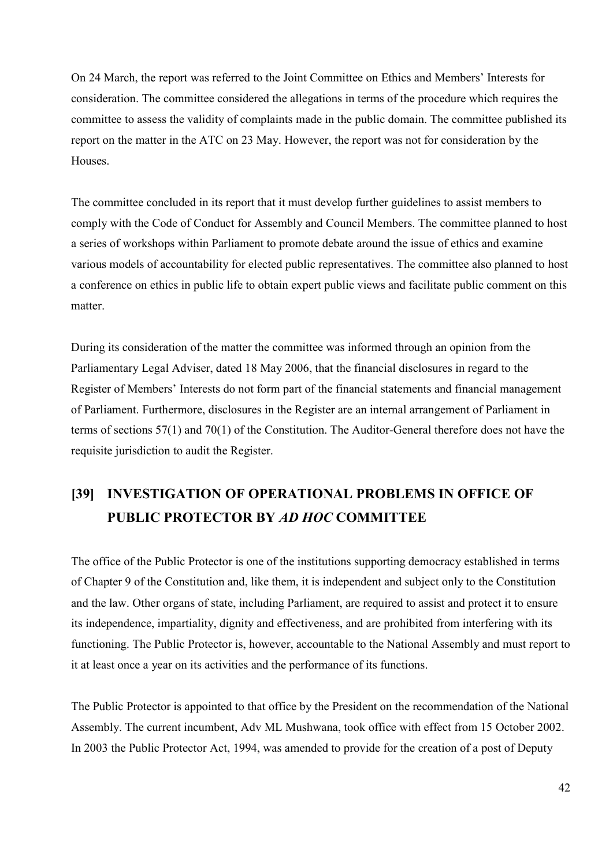On 24 March, the report was referred to the Joint Committee on Ethics and Members' Interests for consideration. The committee considered the allegations in terms of the procedure which requires the committee to assess the validity of complaints made in the public domain. The committee published its report on the matter in the ATC on 23 May. However, the report was not for consideration by the Houses.

The committee concluded in its report that it must develop further guidelines to assist members to comply with the Code of Conduct for Assembly and Council Members. The committee planned to host a series of workshops within Parliament to promote debate around the issue of ethics and examine various models of accountability for elected public representatives. The committee also planned to host a conference on ethics in public life to obtain expert public views and facilitate public comment on this matter.

During its consideration of the matter the committee was informed through an opinion from the Parliamentary Legal Adviser, dated 18 May 2006, that the financial disclosures in regard to the Register of Members' Interests do not form part of the financial statements and financial management of Parliament. Furthermore, disclosures in the Register are an internal arrangement of Parliament in terms of sections 57(1) and 70(1) of the Constitution. The Auditor-General therefore does not have the requisite jurisdiction to audit the Register.

## **[39] INVESTIGATION OF OPERATIONAL PROBLEMS IN OFFICE OF PUBLIC PROTECTOR BY** *AD HOC* **COMMITTEE**

The office of the Public Protector is one of the institutions supporting democracy established in terms of Chapter 9 of the Constitution and, like them, it is independent and subject only to the Constitution and the law. Other organs of state, including Parliament, are required to assist and protect it to ensure its independence, impartiality, dignity and effectiveness, and are prohibited from interfering with its functioning. The Public Protector is, however, accountable to the National Assembly and must report to it at least once a year on its activities and the performance of its functions.

The Public Protector is appointed to that office by the President on the recommendation of the National Assembly. The current incumbent, Adv ML Mushwana, took office with effect from 15 October 2002. In 2003 the Public Protector Act, 1994, was amended to provide for the creation of a post of Deputy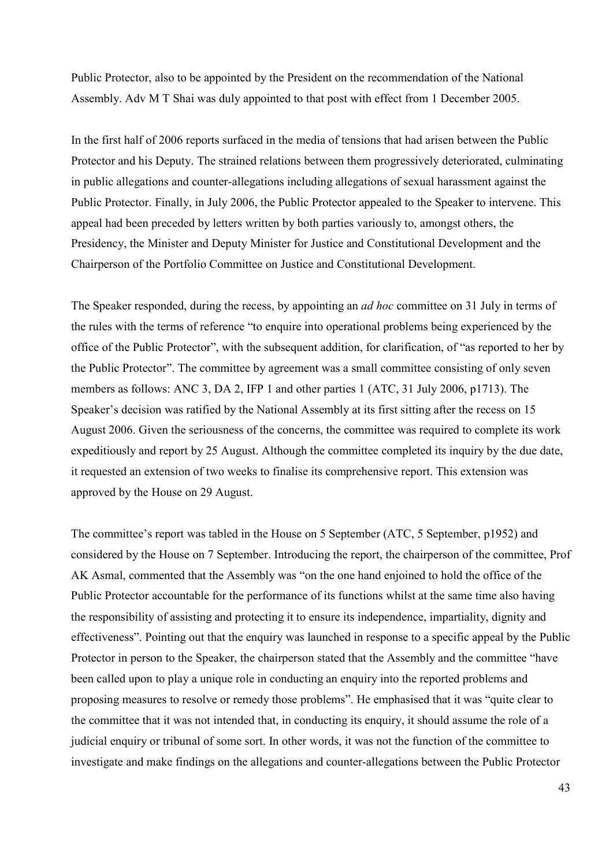Public Protector, also to be appointed by the President on the recommendation of the National Assembly. Adv M T Shai was duly appointed to that post with effect from 1 December 2005.

In the first half of 2006 reports surfaced in the media of tensions that had arisen between the Public Protector and his Deputy. The strained relations between them progressively deteriorated, culminating in public allegations and counter-allegations including allegations of sexual harassment against the Public Protector. Finally, in July 2006, the Public Protector appealed to the Speaker to intervene. This appeal had been preceded by letters written by both parties variously to, amongst others, the Presidency, the Minister and Deputy Minister for Justice and Constitutional Development and the Chairperson of the Portfolio Committee on Justice and Constitutional Development.

The Speaker responded, during the recess, by appointing an *ad hoc* committee on 31 July in terms of the rules with the terms of reference "to enquire into operational problems being experienced by the office of the Public Protector", with the subsequent addition, for clarification, of "as reported to her by the Public Protector". The committee by agreement was a small committee consisting of only seven members as follows: ANC 3, DA 2, IFP 1 and other parties 1 (ATC, 31 July 2006, p1713). The Speaker's decision was ratified by the National Assembly at its first sitting after the recess on 15 August 2006. Given the seriousness of the concerns, the committee was required to complete its work expeditiously and report by 25 August. Although the committee completed its inquiry by the due date, it requested an extension of two weeks to finalise its comprehensive report. This extension was approved by the House on 29 August.

The committee's report was tabled in the House on 5 September (ATC, 5 September, p1952) and considered by the House on 7 September. Introducing the report, the chairperson of the committee, Prof AK Asmal, commented that the Assembly was "on the one hand enjoined to hold the office of the Public Protector accountable for the performance of its functions whilst at the same time also having the responsibility of assisting and protecting it to ensure its independence, impartiality, dignity and effectiveness". Pointing out that the enquiry was launched in response to a specific appeal by the Public Protector in person to the Speaker, the chairperson stated that the Assembly and the committee "have been called upon to play a unique role in conducting an enquiry into the reported problems and proposing measures to resolve or remedy those problems". He emphasised that it was "quite clear to the committee that it was not intended that, in conducting its enquiry, it should assume the role of a judicial enquiry or tribunal of some sort. In other words, it was not the function of the committee to investigate and make findings on the allegations and counter-allegations between the Public Protector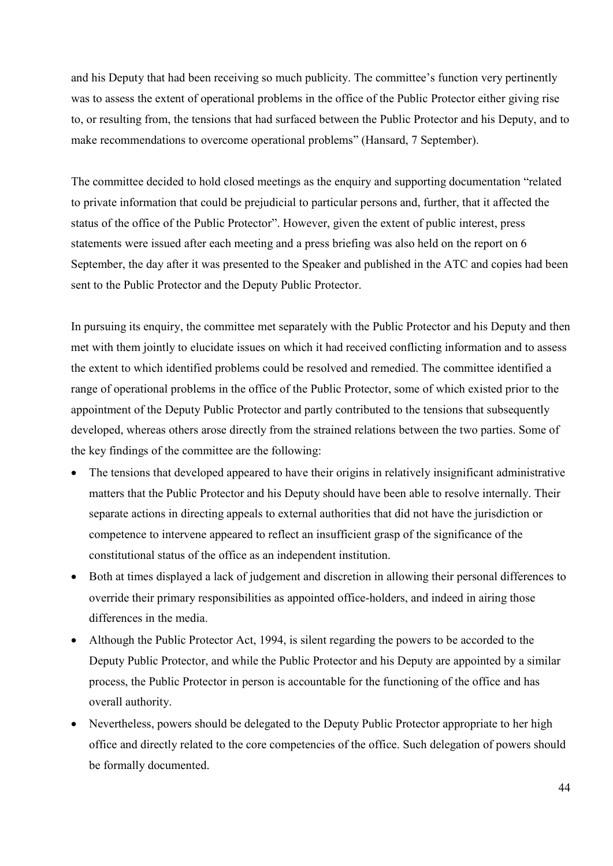and his Deputy that had been receiving so much publicity. The committee's function very pertinently was to assess the extent of operational problems in the office of the Public Protector either giving rise to, or resulting from, the tensions that had surfaced between the Public Protector and his Deputy, and to make recommendations to overcome operational problems" (Hansard, 7 September).

The committee decided to hold closed meetings as the enquiry and supporting documentation "related to private information that could be prejudicial to particular persons and, further, that it affected the status of the office of the Public Protector". However, given the extent of public interest, press statements were issued after each meeting and a press briefing was also held on the report on 6 September, the day after it was presented to the Speaker and published in the ATC and copies had been sent to the Public Protector and the Deputy Public Protector.

In pursuing its enquiry, the committee met separately with the Public Protector and his Deputy and then met with them jointly to elucidate issues on which it had received conflicting information and to assess the extent to which identified problems could be resolved and remedied. The committee identified a range of operational problems in the office of the Public Protector, some of which existed prior to the appointment of the Deputy Public Protector and partly contributed to the tensions that subsequently developed, whereas others arose directly from the strained relations between the two parties. Some of the key findings of the committee are the following:

- The tensions that developed appeared to have their origins in relatively insignificant administrative matters that the Public Protector and his Deputy should have been able to resolve internally. Their separate actions in directing appeals to external authorities that did not have the jurisdiction or competence to intervene appeared to reflect an insufficient grasp of the significance of the constitutional status of the office as an independent institution.
- Both at times displayed a lack of judgement and discretion in allowing their personal differences to override their primary responsibilities as appointed office-holders, and indeed in airing those differences in the media.
- Although the Public Protector Act, 1994, is silent regarding the powers to be accorded to the Deputy Public Protector, and while the Public Protector and his Deputy are appointed by a similar process, the Public Protector in person is accountable for the functioning of the office and has overall authority.
- Nevertheless, powers should be delegated to the Deputy Public Protector appropriate to her high office and directly related to the core competencies of the office. Such delegation of powers should be formally documented.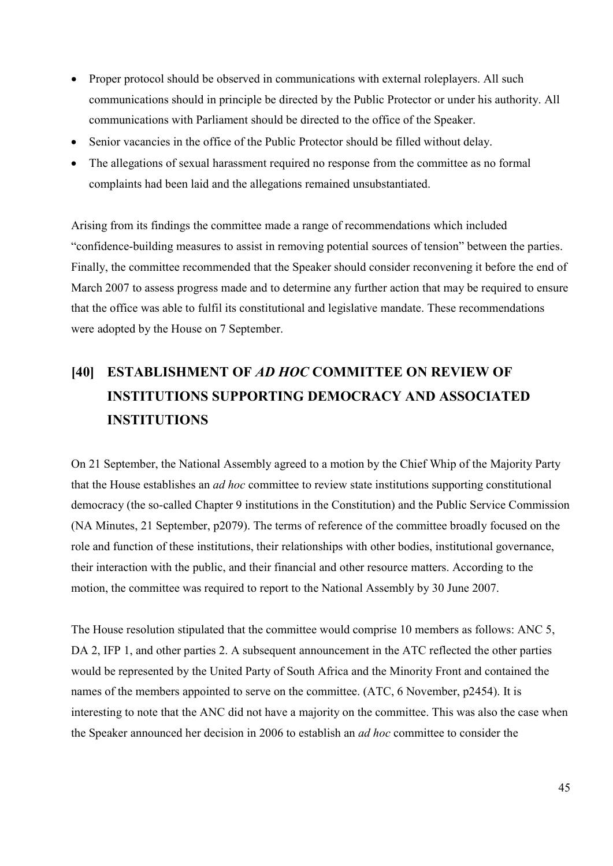- Proper protocol should be observed in communications with external roleplayers. All such communications should in principle be directed by the Public Protector or under his authority. All communications with Parliament should be directed to the office of the Speaker.
- Senior vacancies in the office of the Public Protector should be filled without delay.
- The allegations of sexual harassment required no response from the committee as no formal complaints had been laid and the allegations remained unsubstantiated.

Arising from its findings the committee made a range of recommendations which included "confidence-building measures to assist in removing potential sources of tension" between the parties. Finally, the committee recommended that the Speaker should consider reconvening it before the end of March 2007 to assess progress made and to determine any further action that may be required to ensure that the office was able to fulfil its constitutional and legislative mandate. These recommendations were adopted by the House on 7 September.

# **[40] ESTABLISHMENT OF** *AD HOC* **COMMITTEE ON REVIEW OF INSTITUTIONS SUPPORTING DEMOCRACY AND ASSOCIATED INSTITUTIONS**

On 21 September, the National Assembly agreed to a motion by the Chief Whip of the Majority Party that the House establishes an *ad hoc* committee to review state institutions supporting constitutional democracy (the so-called Chapter 9 institutions in the Constitution) and the Public Service Commission (NA Minutes, 21 September, p2079). The terms of reference of the committee broadly focused on the role and function of these institutions, their relationships with other bodies, institutional governance, their interaction with the public, and their financial and other resource matters. According to the motion, the committee was required to report to the National Assembly by 30 June 2007.

The House resolution stipulated that the committee would comprise 10 members as follows: ANC 5, DA 2, IFP 1, and other parties 2. A subsequent announcement in the ATC reflected the other parties would be represented by the United Party of South Africa and the Minority Front and contained the names of the members appointed to serve on the committee. (ATC, 6 November, p2454). It is interesting to note that the ANC did not have a majority on the committee. This was also the case when the Speaker announced her decision in 2006 to establish an *ad hoc* committee to consider the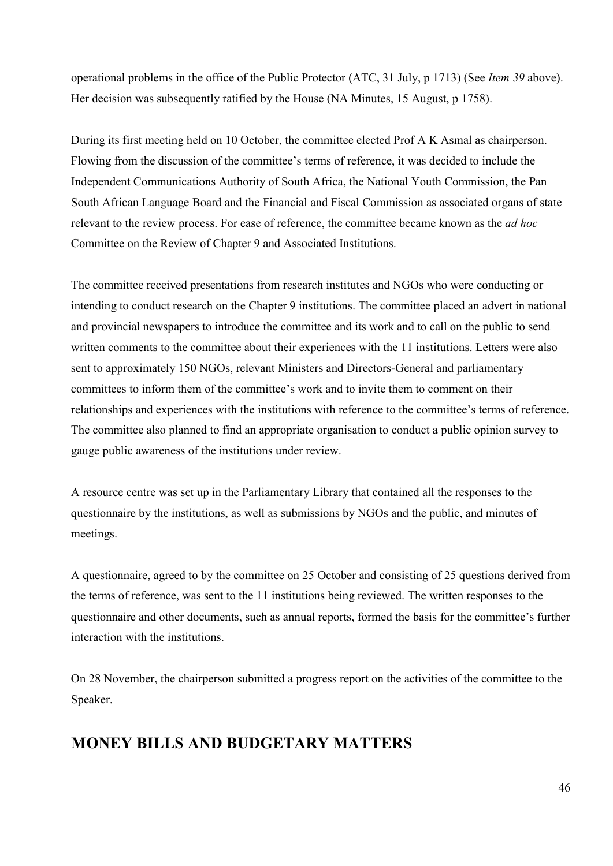operational problems in the office of the Public Protector (ATC, 31 July, p 1713) (See *Item 39* above). Her decision was subsequently ratified by the House (NA Minutes, 15 August, p 1758).

During its first meeting held on 10 October, the committee elected Prof A K Asmal as chairperson. Flowing from the discussion of the committee's terms of reference, it was decided to include the Independent Communications Authority of South Africa, the National Youth Commission, the Pan South African Language Board and the Financial and Fiscal Commission as associated organs of state relevant to the review process. For ease of reference, the committee became known as the *ad hoc* Committee on the Review of Chapter 9 and Associated Institutions.

The committee received presentations from research institutes and NGOs who were conducting or intending to conduct research on the Chapter 9 institutions. The committee placed an advert in national and provincial newspapers to introduce the committee and its work and to call on the public to send written comments to the committee about their experiences with the 11 institutions. Letters were also sent to approximately 150 NGOs, relevant Ministers and Directors-General and parliamentary committees to inform them of the committee's work and to invite them to comment on their relationships and experiences with the institutions with reference to the committee's terms of reference. The committee also planned to find an appropriate organisation to conduct a public opinion survey to gauge public awareness of the institutions under review.

A resource centre was set up in the Parliamentary Library that contained all the responses to the questionnaire by the institutions, as well as submissions by NGOs and the public, and minutes of meetings.

A questionnaire, agreed to by the committee on 25 October and consisting of 25 questions derived from the terms of reference, was sent to the 11 institutions being reviewed. The written responses to the questionnaire and other documents, such as annual reports, formed the basis for the committee's further interaction with the institutions.

On 28 November, the chairperson submitted a progress report on the activities of the committee to the Speaker.

## **MONEY BILLS AND BUDGETARY MATTERS**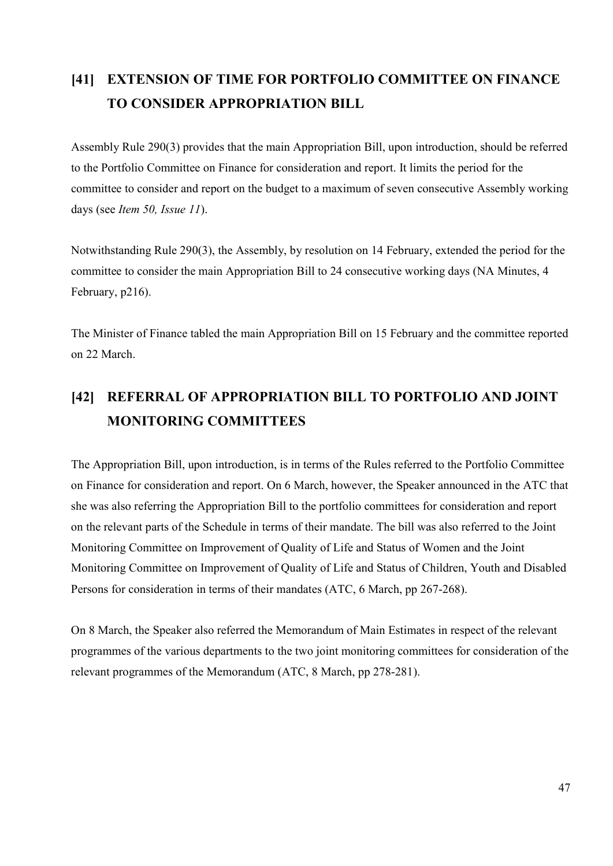## **[41] EXTENSION OF TIME FOR PORTFOLIO COMMITTEE ON FINANCE TO CONSIDER APPROPRIATION BILL**

Assembly Rule 290(3) provides that the main Appropriation Bill, upon introduction, should be referred to the Portfolio Committee on Finance for consideration and report. It limits the period for the committee to consider and report on the budget to a maximum of seven consecutive Assembly working days (see *Item 50, Issue 11*).

Notwithstanding Rule 290(3), the Assembly, by resolution on 14 February, extended the period for the committee to consider the main Appropriation Bill to 24 consecutive working days (NA Minutes, 4 February, p216).

The Minister of Finance tabled the main Appropriation Bill on 15 February and the committee reported on 22 March.

## **[42] REFERRAL OF APPROPRIATION BILL TO PORTFOLIO AND JOINT MONITORING COMMITTEES**

The Appropriation Bill, upon introduction, is in terms of the Rules referred to the Portfolio Committee on Finance for consideration and report. On 6 March, however, the Speaker announced in the ATC that she was also referring the Appropriation Bill to the portfolio committees for consideration and report on the relevant parts of the Schedule in terms of their mandate. The bill was also referred to the Joint Monitoring Committee on Improvement of Quality of Life and Status of Women and the Joint Monitoring Committee on Improvement of Quality of Life and Status of Children, Youth and Disabled Persons for consideration in terms of their mandates (ATC, 6 March, pp 267-268).

On 8 March, the Speaker also referred the Memorandum of Main Estimates in respect of the relevant programmes of the various departments to the two joint monitoring committees for consideration of the relevant programmes of the Memorandum (ATC, 8 March, pp 278-281).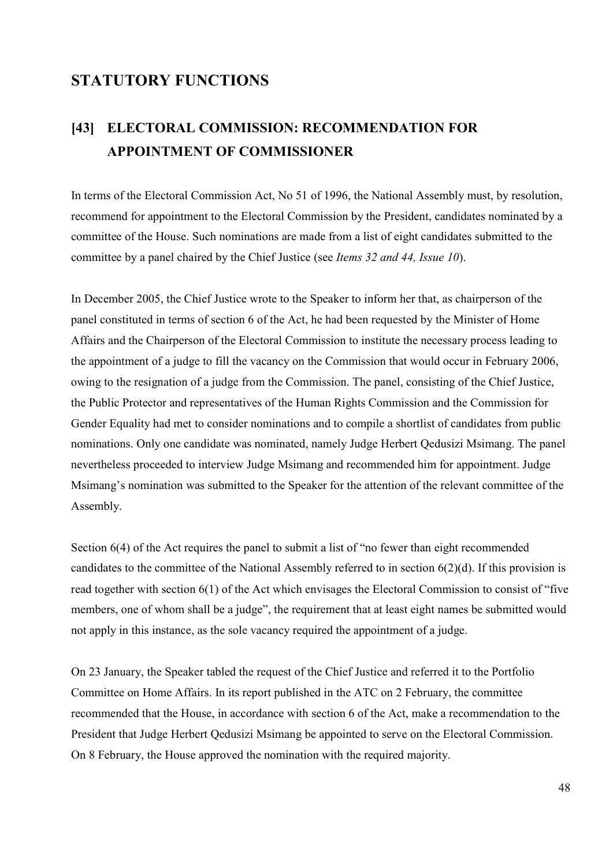## **STATUTORY FUNCTIONS**

## **[43] ELECTORAL COMMISSION: RECOMMENDATION FOR APPOINTMENT OF COMMISSIONER**

In terms of the Electoral Commission Act, No 51 of 1996, the National Assembly must, by resolution, recommend for appointment to the Electoral Commission by the President, candidates nominated by a committee of the House. Such nominations are made from a list of eight candidates submitted to the committee by a panel chaired by the Chief Justice (see *Items 32 and 44, Issue 10*).

In December 2005, the Chief Justice wrote to the Speaker to inform her that, as chairperson of the panel constituted in terms of section 6 of the Act, he had been requested by the Minister of Home Affairs and the Chairperson of the Electoral Commission to institute the necessary process leading to the appointment of a judge to fill the vacancy on the Commission that would occur in February 2006, owing to the resignation of a judge from the Commission. The panel, consisting of the Chief Justice, the Public Protector and representatives of the Human Rights Commission and the Commission for Gender Equality had met to consider nominations and to compile a shortlist of candidates from public nominations. Only one candidate was nominated, namely Judge Herbert Qedusizi Msimang. The panel nevertheless proceeded to interview Judge Msimang and recommended him for appointment. Judge Msimang's nomination was submitted to the Speaker for the attention of the relevant committee of the Assembly.

Section 6(4) of the Act requires the panel to submit a list of "no fewer than eight recommended candidates to the committee of the National Assembly referred to in section 6(2)(d). If this provision is read together with section 6(1) of the Act which envisages the Electoral Commission to consist of "five members, one of whom shall be a judge", the requirement that at least eight names be submitted would not apply in this instance, as the sole vacancy required the appointment of a judge.

On 23 January, the Speaker tabled the request of the Chief Justice and referred it to the Portfolio Committee on Home Affairs. In its report published in the ATC on 2 February, the committee recommended that the House, in accordance with section 6 of the Act, make a recommendation to the President that Judge Herbert Qedusizi Msimang be appointed to serve on the Electoral Commission. On 8 February, the House approved the nomination with the required majority.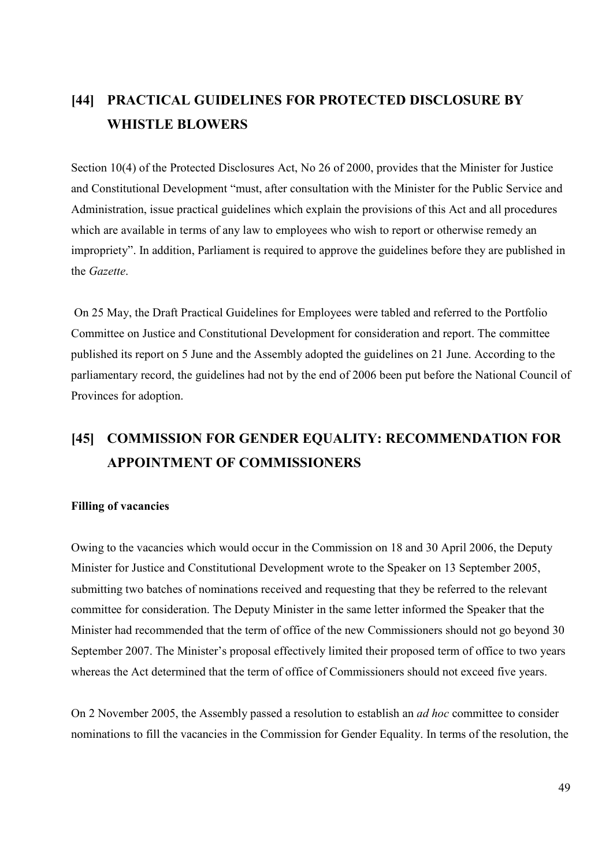## **[44] PRACTICAL GUIDELINES FOR PROTECTED DISCLOSURE BY WHISTLE BLOWERS**

Section 10(4) of the Protected Disclosures Act, No 26 of 2000, provides that the Minister for Justice and Constitutional Development "must, after consultation with the Minister for the Public Service and Administration, issue practical guidelines which explain the provisions of this Act and all procedures which are available in terms of any law to employees who wish to report or otherwise remedy an impropriety". In addition, Parliament is required to approve the guidelines before they are published in the *Gazette*.

 On 25 May, the Draft Practical Guidelines for Employees were tabled and referred to the Portfolio Committee on Justice and Constitutional Development for consideration and report. The committee published its report on 5 June and the Assembly adopted the guidelines on 21 June. According to the parliamentary record, the guidelines had not by the end of 2006 been put before the National Council of Provinces for adoption.

## **[45] COMMISSION FOR GENDER EQUALITY: RECOMMENDATION FOR APPOINTMENT OF COMMISSIONERS**

#### **Filling of vacancies**

Owing to the vacancies which would occur in the Commission on 18 and 30 April 2006, the Deputy Minister for Justice and Constitutional Development wrote to the Speaker on 13 September 2005, submitting two batches of nominations received and requesting that they be referred to the relevant committee for consideration. The Deputy Minister in the same letter informed the Speaker that the Minister had recommended that the term of office of the new Commissioners should not go beyond 30 September 2007. The Minister's proposal effectively limited their proposed term of office to two years whereas the Act determined that the term of office of Commissioners should not exceed five years.

On 2 November 2005, the Assembly passed a resolution to establish an *ad hoc* committee to consider nominations to fill the vacancies in the Commission for Gender Equality. In terms of the resolution, the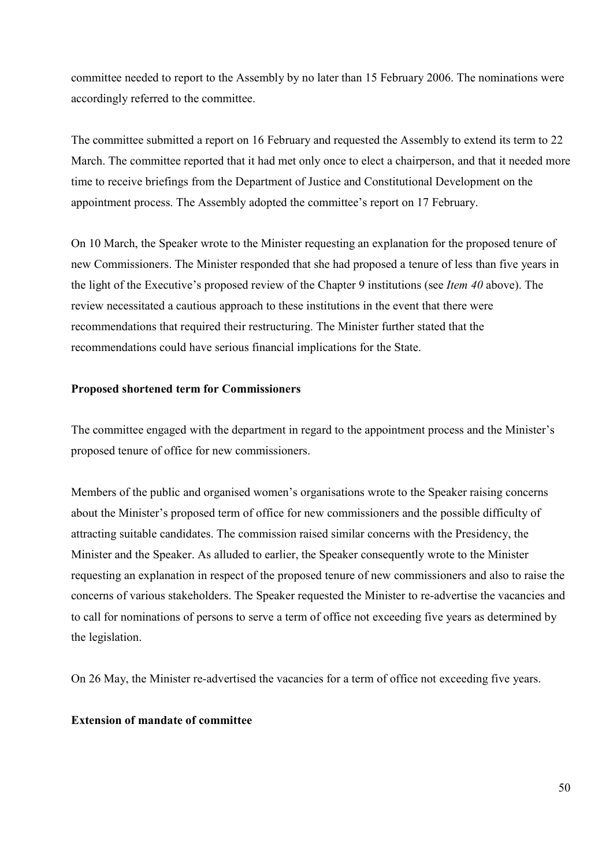committee needed to report to the Assembly by no later than 15 February 2006. The nominations were accordingly referred to the committee.

The committee submitted a report on 16 February and requested the Assembly to extend its term to 22 March. The committee reported that it had met only once to elect a chairperson, and that it needed more time to receive briefings from the Department of Justice and Constitutional Development on the appointment process. The Assembly adopted the committee's report on 17 February.

On 10 March, the Speaker wrote to the Minister requesting an explanation for the proposed tenure of new Commissioners. The Minister responded that she had proposed a tenure of less than five years in the light of the Executive's proposed review of the Chapter 9 institutions (see *Item 40* above). The review necessitated a cautious approach to these institutions in the event that there were recommendations that required their restructuring. The Minister further stated that the recommendations could have serious financial implications for the State.

#### **Proposed shortened term for Commissioners**

The committee engaged with the department in regard to the appointment process and the Minister's proposed tenure of office for new commissioners.

Members of the public and organised women's organisations wrote to the Speaker raising concerns about the Minister's proposed term of office for new commissioners and the possible difficulty of attracting suitable candidates. The commission raised similar concerns with the Presidency, the Minister and the Speaker. As alluded to earlier, the Speaker consequently wrote to the Minister requesting an explanation in respect of the proposed tenure of new commissioners and also to raise the concerns of various stakeholders. The Speaker requested the Minister to re-advertise the vacancies and to call for nominations of persons to serve a term of office not exceeding five years as determined by the legislation.

On 26 May, the Minister re-advertised the vacancies for a term of office not exceeding five years.

#### **Extension of mandate of committee**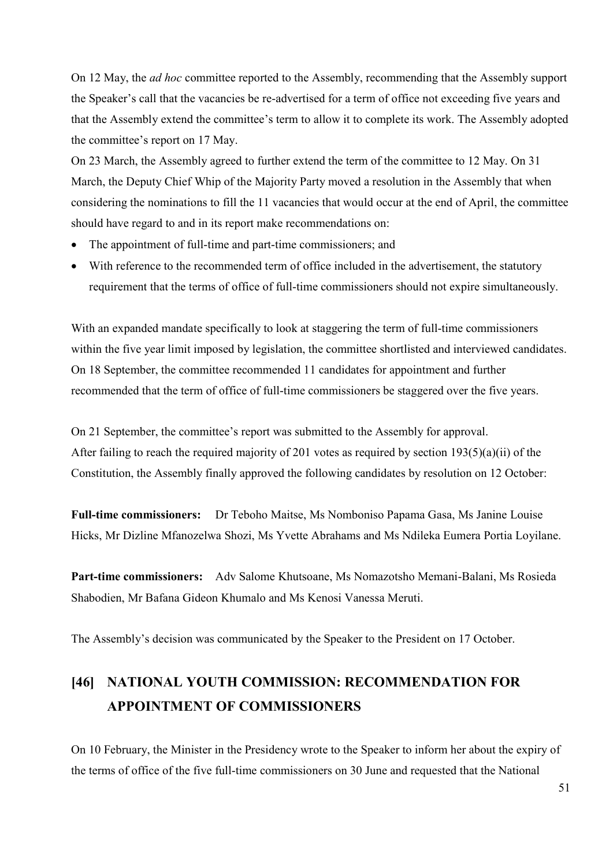On 12 May, the *ad hoc* committee reported to the Assembly, recommending that the Assembly support the Speaker's call that the vacancies be re-advertised for a term of office not exceeding five years and that the Assembly extend the committee's term to allow it to complete its work. The Assembly adopted the committee's report on 17 May.

On 23 March, the Assembly agreed to further extend the term of the committee to 12 May. On 31 March, the Deputy Chief Whip of the Majority Party moved a resolution in the Assembly that when considering the nominations to fill the 11 vacancies that would occur at the end of April, the committee should have regard to and in its report make recommendations on:

- The appointment of full-time and part-time commissioners; and
- With reference to the recommended term of office included in the advertisement, the statutory requirement that the terms of office of full-time commissioners should not expire simultaneously.

With an expanded mandate specifically to look at staggering the term of full-time commissioners within the five year limit imposed by legislation, the committee shortlisted and interviewed candidates. On 18 September, the committee recommended 11 candidates for appointment and further recommended that the term of office of full-time commissioners be staggered over the five years.

On 21 September, the committee's report was submitted to the Assembly for approval. After failing to reach the required majority of 201 votes as required by section  $193(5)(a)(ii)$  of the Constitution, the Assembly finally approved the following candidates by resolution on 12 October:

**Full-time commissioners:** Dr Teboho Maitse, Ms Nomboniso Papama Gasa, Ms Janine Louise Hicks, Mr Dizline Mfanozelwa Shozi, Ms Yvette Abrahams and Ms Ndileka Eumera Portia Loyilane.

**Part-time commissioners:** Adv Salome Khutsoane, Ms Nomazotsho Memani-Balani, Ms Rosieda Shabodien, Mr Bafana Gideon Khumalo and Ms Kenosi Vanessa Meruti.

The Assembly's decision was communicated by the Speaker to the President on 17 October.

## **[46] NATIONAL YOUTH COMMISSION: RECOMMENDATION FOR APPOINTMENT OF COMMISSIONERS**

On 10 February, the Minister in the Presidency wrote to the Speaker to inform her about the expiry of the terms of office of the five full-time commissioners on 30 June and requested that the National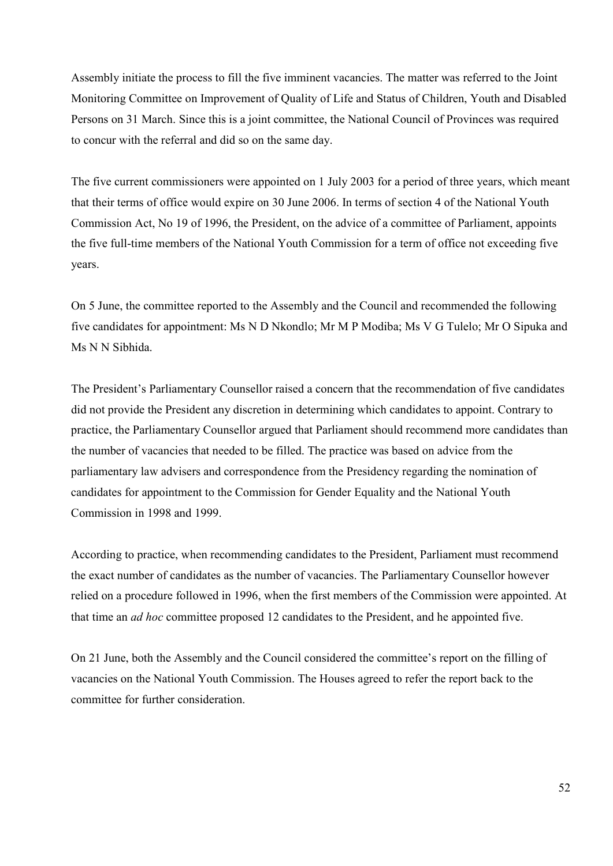Assembly initiate the process to fill the five imminent vacancies. The matter was referred to the Joint Monitoring Committee on Improvement of Quality of Life and Status of Children, Youth and Disabled Persons on 31 March. Since this is a joint committee, the National Council of Provinces was required to concur with the referral and did so on the same day.

The five current commissioners were appointed on 1 July 2003 for a period of three years, which meant that their terms of office would expire on 30 June 2006. In terms of section 4 of the National Youth Commission Act, No 19 of 1996, the President, on the advice of a committee of Parliament, appoints the five full-time members of the National Youth Commission for a term of office not exceeding five years.

On 5 June, the committee reported to the Assembly and the Council and recommended the following five candidates for appointment: Ms N D Nkondlo; Mr M P Modiba; Ms V G Tulelo; Mr O Sipuka and Ms N N Sibhida.

The President's Parliamentary Counsellor raised a concern that the recommendation of five candidates did not provide the President any discretion in determining which candidates to appoint. Contrary to practice, the Parliamentary Counsellor argued that Parliament should recommend more candidates than the number of vacancies that needed to be filled. The practice was based on advice from the parliamentary law advisers and correspondence from the Presidency regarding the nomination of candidates for appointment to the Commission for Gender Equality and the National Youth Commission in 1998 and 1999.

According to practice, when recommending candidates to the President, Parliament must recommend the exact number of candidates as the number of vacancies. The Parliamentary Counsellor however relied on a procedure followed in 1996, when the first members of the Commission were appointed. At that time an *ad hoc* committee proposed 12 candidates to the President, and he appointed five.

On 21 June, both the Assembly and the Council considered the committee's report on the filling of vacancies on the National Youth Commission. The Houses agreed to refer the report back to the committee for further consideration.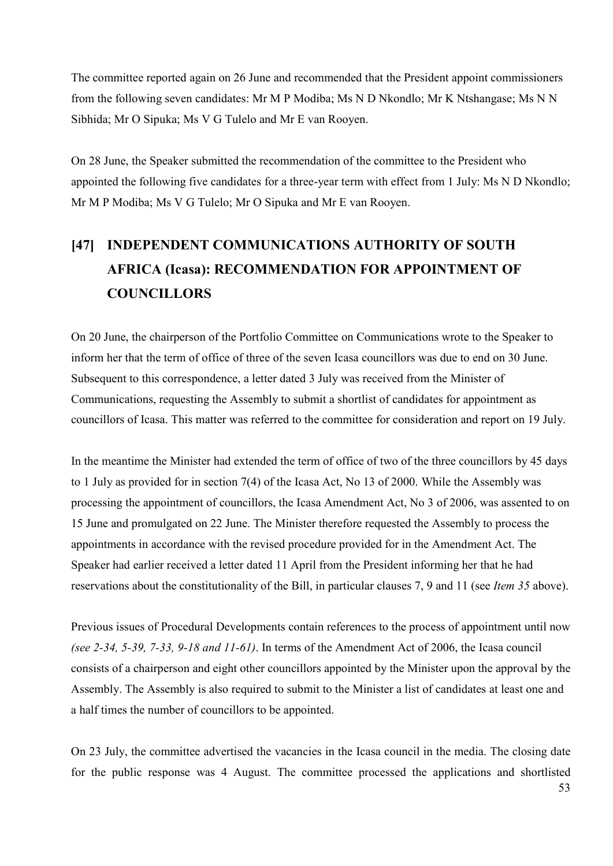The committee reported again on 26 June and recommended that the President appoint commissioners from the following seven candidates: Mr M P Modiba; Ms N D Nkondlo; Mr K Ntshangase; Ms N N Sibhida; Mr O Sipuka; Ms V G Tulelo and Mr E van Rooyen.

On 28 June, the Speaker submitted the recommendation of the committee to the President who appointed the following five candidates for a three-year term with effect from 1 July: Ms N D Nkondlo; Mr M P Modiba; Ms V G Tulelo; Mr O Sipuka and Mr E van Rooyen.

# **[47] INDEPENDENT COMMUNICATIONS AUTHORITY OF SOUTH AFRICA (Icasa): RECOMMENDATION FOR APPOINTMENT OF COUNCILLORS**

On 20 June, the chairperson of the Portfolio Committee on Communications wrote to the Speaker to inform her that the term of office of three of the seven Icasa councillors was due to end on 30 June. Subsequent to this correspondence, a letter dated 3 July was received from the Minister of Communications, requesting the Assembly to submit a shortlist of candidates for appointment as councillors of Icasa. This matter was referred to the committee for consideration and report on 19 July.

In the meantime the Minister had extended the term of office of two of the three councillors by 45 days to 1 July as provided for in section 7(4) of the Icasa Act, No 13 of 2000. While the Assembly was processing the appointment of councillors, the Icasa Amendment Act, No 3 of 2006, was assented to on 15 June and promulgated on 22 June. The Minister therefore requested the Assembly to process the appointments in accordance with the revised procedure provided for in the Amendment Act. The Speaker had earlier received a letter dated 11 April from the President informing her that he had reservations about the constitutionality of the Bill, in particular clauses 7, 9 and 11 (see *Item 35* above).

Previous issues of Procedural Developments contain references to the process of appointment until now *(see 2-34, 5-39, 7-33, 9-18 and 11-61)*. In terms of the Amendment Act of 2006, the Icasa council consists of a chairperson and eight other councillors appointed by the Minister upon the approval by the Assembly. The Assembly is also required to submit to the Minister a list of candidates at least one and a half times the number of councillors to be appointed.

On 23 July, the committee advertised the vacancies in the Icasa council in the media. The closing date for the public response was 4 August. The committee processed the applications and shortlisted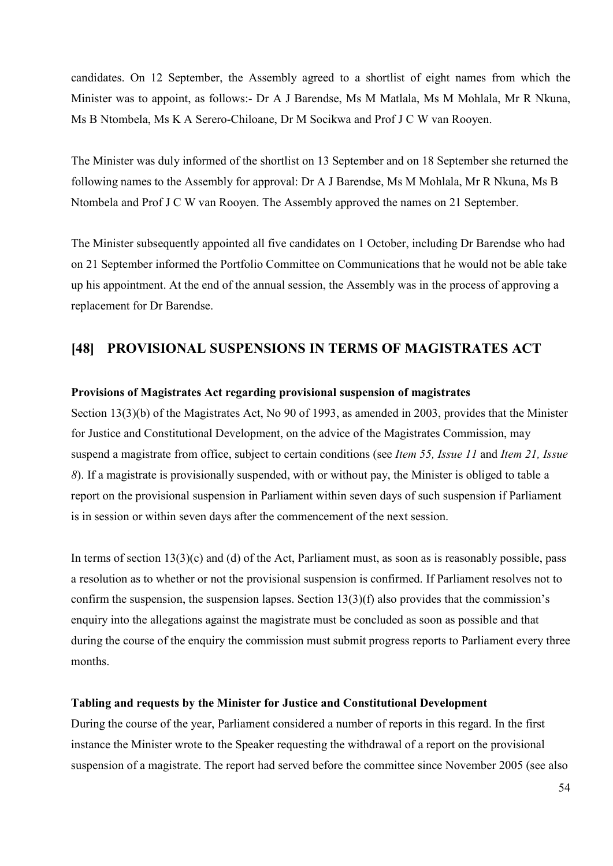candidates. On 12 September, the Assembly agreed to a shortlist of eight names from which the Minister was to appoint, as follows:- Dr A J Barendse, Ms M Matlala, Ms M Mohlala, Mr R Nkuna, Ms B Ntombela, Ms K A Serero-Chiloane, Dr M Socikwa and Prof J C W van Rooyen.

The Minister was duly informed of the shortlist on 13 September and on 18 September she returned the following names to the Assembly for approval: Dr A J Barendse, Ms M Mohlala, Mr R Nkuna, Ms B Ntombela and Prof J C W van Rooyen. The Assembly approved the names on 21 September.

The Minister subsequently appointed all five candidates on 1 October, including Dr Barendse who had on 21 September informed the Portfolio Committee on Communications that he would not be able take up his appointment. At the end of the annual session, the Assembly was in the process of approving a replacement for Dr Barendse.

#### **[48] PROVISIONAL SUSPENSIONS IN TERMS OF MAGISTRATES ACT**

#### **Provisions of Magistrates Act regarding provisional suspension of magistrates**

Section 13(3)(b) of the Magistrates Act, No 90 of 1993, as amended in 2003, provides that the Minister for Justice and Constitutional Development, on the advice of the Magistrates Commission, may suspend a magistrate from office, subject to certain conditions (see *Item 55, Issue 11* and *Item 21, Issue 8*). If a magistrate is provisionally suspended, with or without pay, the Minister is obliged to table a report on the provisional suspension in Parliament within seven days of such suspension if Parliament is in session or within seven days after the commencement of the next session.

In terms of section  $13(3)(c)$  and (d) of the Act, Parliament must, as soon as is reasonably possible, pass a resolution as to whether or not the provisional suspension is confirmed. If Parliament resolves not to confirm the suspension, the suspension lapses. Section 13(3)(f) also provides that the commission's enquiry into the allegations against the magistrate must be concluded as soon as possible and that during the course of the enquiry the commission must submit progress reports to Parliament every three months.

#### **Tabling and requests by the Minister for Justice and Constitutional Development**

During the course of the year, Parliament considered a number of reports in this regard. In the first instance the Minister wrote to the Speaker requesting the withdrawal of a report on the provisional suspension of a magistrate. The report had served before the committee since November 2005 (see also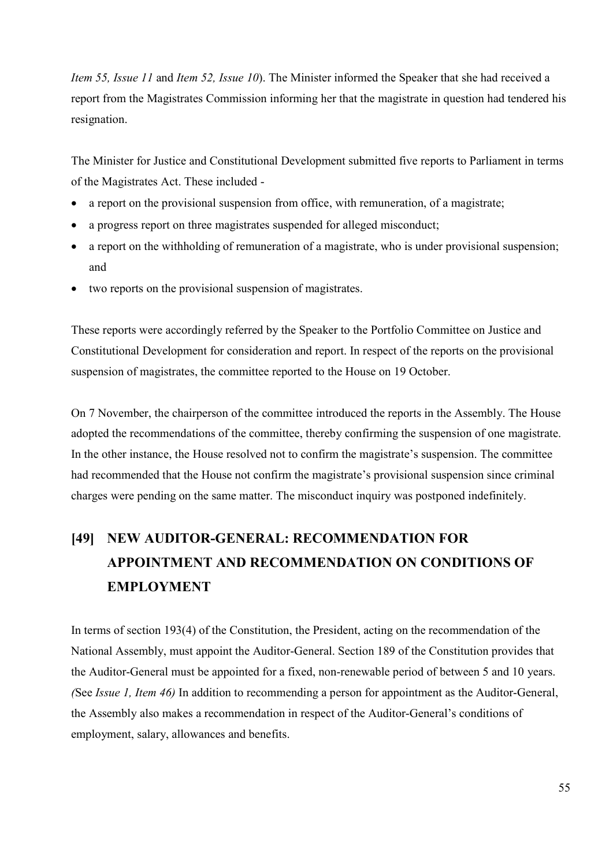*Item 55, Issue 11* and *Item 52, Issue 10*). The Minister informed the Speaker that she had received a report from the Magistrates Commission informing her that the magistrate in question had tendered his resignation.

The Minister for Justice and Constitutional Development submitted five reports to Parliament in terms of the Magistrates Act. These included -

- a report on the provisional suspension from office, with remuneration, of a magistrate;
- a progress report on three magistrates suspended for alleged misconduct;
- a report on the withholding of remuneration of a magistrate, who is under provisional suspension; and
- two reports on the provisional suspension of magistrates.

These reports were accordingly referred by the Speaker to the Portfolio Committee on Justice and Constitutional Development for consideration and report. In respect of the reports on the provisional suspension of magistrates, the committee reported to the House on 19 October.

On 7 November, the chairperson of the committee introduced the reports in the Assembly. The House adopted the recommendations of the committee, thereby confirming the suspension of one magistrate. In the other instance, the House resolved not to confirm the magistrate's suspension. The committee had recommended that the House not confirm the magistrate's provisional suspension since criminal charges were pending on the same matter. The misconduct inquiry was postponed indefinitely.

# **[49] NEW AUDITOR-GENERAL: RECOMMENDATION FOR APPOINTMENT AND RECOMMENDATION ON CONDITIONS OF EMPLOYMENT**

In terms of section 193(4) of the Constitution, the President, acting on the recommendation of the National Assembly, must appoint the Auditor-General. Section 189 of the Constitution provides that the Auditor-General must be appointed for a fixed, non-renewable period of between 5 and 10 years. *(*See *Issue 1, Item 46)* In addition to recommending a person for appointment as the Auditor-General, the Assembly also makes a recommendation in respect of the Auditor-General's conditions of employment, salary, allowances and benefits.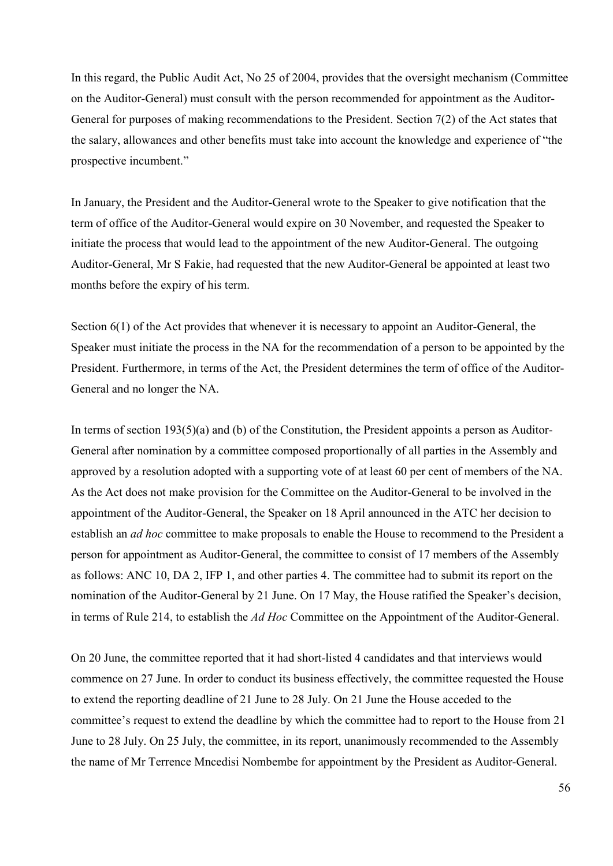In this regard, the Public Audit Act, No 25 of 2004, provides that the oversight mechanism (Committee on the Auditor-General) must consult with the person recommended for appointment as the Auditor-General for purposes of making recommendations to the President. Section 7(2) of the Act states that the salary, allowances and other benefits must take into account the knowledge and experience of "the prospective incumbent."

In January, the President and the Auditor-General wrote to the Speaker to give notification that the term of office of the Auditor-General would expire on 30 November, and requested the Speaker to initiate the process that would lead to the appointment of the new Auditor-General. The outgoing Auditor-General, Mr S Fakie, had requested that the new Auditor-General be appointed at least two months before the expiry of his term.

Section 6(1) of the Act provides that whenever it is necessary to appoint an Auditor-General, the Speaker must initiate the process in the NA for the recommendation of a person to be appointed by the President. Furthermore, in terms of the Act, the President determines the term of office of the Auditor-General and no longer the NA.

In terms of section 193(5)(a) and (b) of the Constitution, the President appoints a person as Auditor-General after nomination by a committee composed proportionally of all parties in the Assembly and approved by a resolution adopted with a supporting vote of at least 60 per cent of members of the NA. As the Act does not make provision for the Committee on the Auditor-General to be involved in the appointment of the Auditor-General, the Speaker on 18 April announced in the ATC her decision to establish an *ad hoc* committee to make proposals to enable the House to recommend to the President a person for appointment as Auditor-General, the committee to consist of 17 members of the Assembly as follows: ANC 10, DA 2, IFP 1, and other parties 4. The committee had to submit its report on the nomination of the Auditor-General by 21 June. On 17 May, the House ratified the Speaker's decision, in terms of Rule 214, to establish the *Ad Hoc* Committee on the Appointment of the Auditor-General.

On 20 June, the committee reported that it had short-listed 4 candidates and that interviews would commence on 27 June. In order to conduct its business effectively, the committee requested the House to extend the reporting deadline of 21 June to 28 July. On 21 June the House acceded to the committee's request to extend the deadline by which the committee had to report to the House from 21 June to 28 July. On 25 July, the committee, in its report, unanimously recommended to the Assembly the name of Mr Terrence Mncedisi Nombembe for appointment by the President as Auditor-General.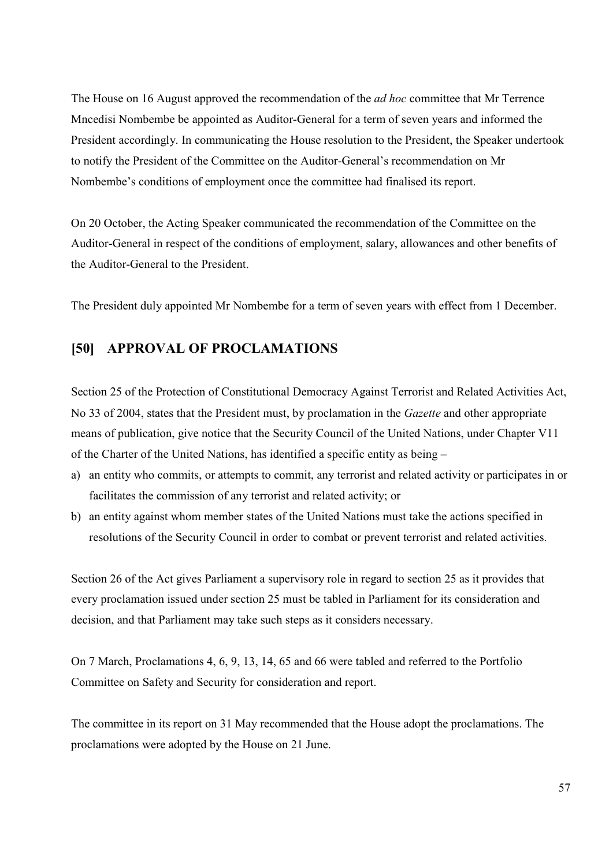The House on 16 August approved the recommendation of the *ad hoc* committee that Mr Terrence Mncedisi Nombembe be appointed as Auditor-General for a term of seven years and informed the President accordingly. In communicating the House resolution to the President, the Speaker undertook to notify the President of the Committee on the Auditor-General's recommendation on Mr Nombembe's conditions of employment once the committee had finalised its report.

On 20 October, the Acting Speaker communicated the recommendation of the Committee on the Auditor-General in respect of the conditions of employment, salary, allowances and other benefits of the Auditor-General to the President.

The President duly appointed Mr Nombembe for a term of seven years with effect from 1 December.

#### **[50] APPROVAL OF PROCLAMATIONS**

Section 25 of the Protection of Constitutional Democracy Against Terrorist and Related Activities Act, No 33 of 2004, states that the President must, by proclamation in the *Gazette* and other appropriate means of publication, give notice that the Security Council of the United Nations, under Chapter V11 of the Charter of the United Nations, has identified a specific entity as being –

- a) an entity who commits, or attempts to commit, any terrorist and related activity or participates in or facilitates the commission of any terrorist and related activity; or
- b) an entity against whom member states of the United Nations must take the actions specified in resolutions of the Security Council in order to combat or prevent terrorist and related activities.

Section 26 of the Act gives Parliament a supervisory role in regard to section 25 as it provides that every proclamation issued under section 25 must be tabled in Parliament for its consideration and decision, and that Parliament may take such steps as it considers necessary.

On 7 March, Proclamations 4, 6, 9, 13, 14, 65 and 66 were tabled and referred to the Portfolio Committee on Safety and Security for consideration and report.

The committee in its report on 31 May recommended that the House adopt the proclamations. The proclamations were adopted by the House on 21 June.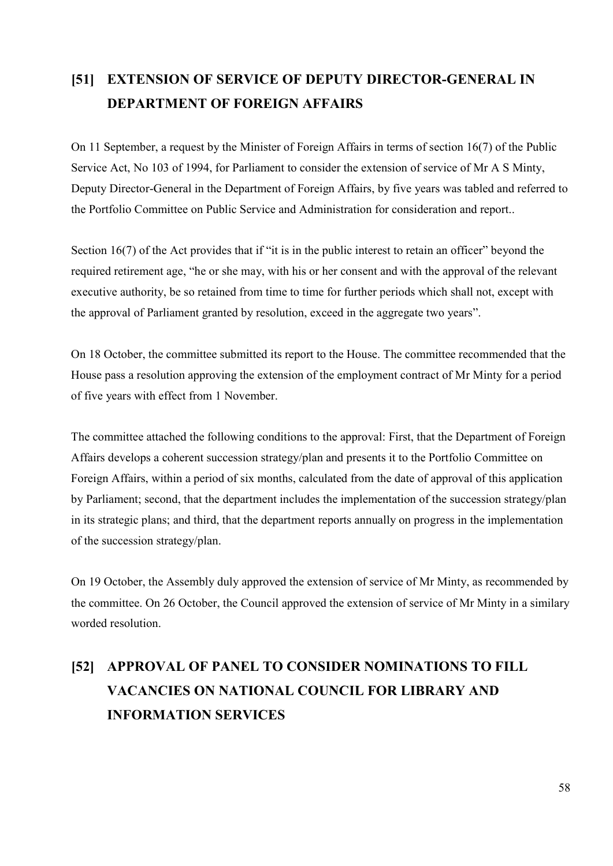## **[51] EXTENSION OF SERVICE OF DEPUTY DIRECTOR-GENERAL IN DEPARTMENT OF FOREIGN AFFAIRS**

On 11 September, a request by the Minister of Foreign Affairs in terms of section 16(7) of the Public Service Act, No 103 of 1994, for Parliament to consider the extension of service of Mr A S Minty, Deputy Director-General in the Department of Foreign Affairs, by five years was tabled and referred to the Portfolio Committee on Public Service and Administration for consideration and report..

Section 16(7) of the Act provides that if "it is in the public interest to retain an officer" beyond the required retirement age, "he or she may, with his or her consent and with the approval of the relevant executive authority, be so retained from time to time for further periods which shall not, except with the approval of Parliament granted by resolution, exceed in the aggregate two years".

On 18 October, the committee submitted its report to the House. The committee recommended that the House pass a resolution approving the extension of the employment contract of Mr Minty for a period of five years with effect from 1 November.

The committee attached the following conditions to the approval: First, that the Department of Foreign Affairs develops a coherent succession strategy/plan and presents it to the Portfolio Committee on Foreign Affairs, within a period of six months, calculated from the date of approval of this application by Parliament; second, that the department includes the implementation of the succession strategy/plan in its strategic plans; and third, that the department reports annually on progress in the implementation of the succession strategy/plan.

On 19 October, the Assembly duly approved the extension of service of Mr Minty, as recommended by the committee. On 26 October, the Council approved the extension of service of Mr Minty in a similary worded resolution.

# **[52] APPROVAL OF PANEL TO CONSIDER NOMINATIONS TO FILL VACANCIES ON NATIONAL COUNCIL FOR LIBRARY AND INFORMATION SERVICES**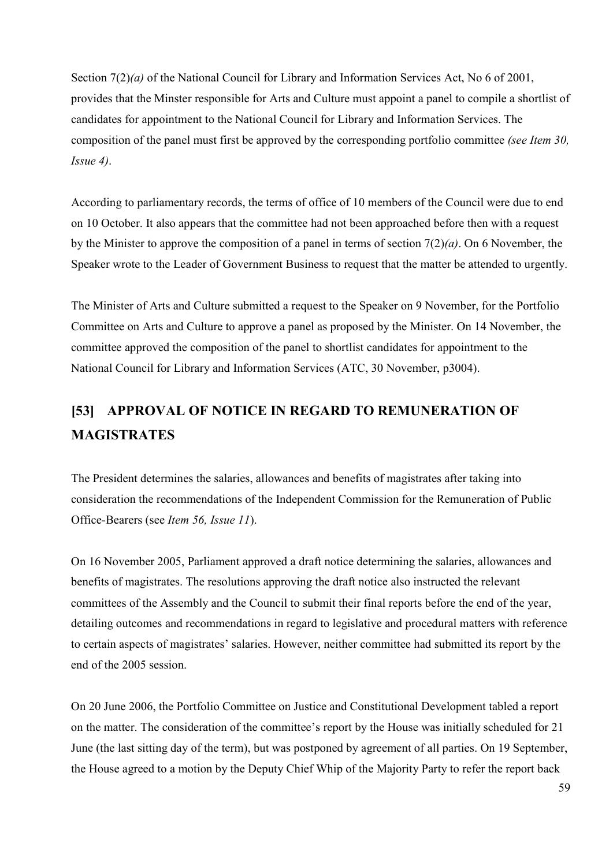Section 7(2)(*a*) of the National Council for Library and Information Services Act, No 6 of 2001, provides that the Minster responsible for Arts and Culture must appoint a panel to compile a shortlist of candidates for appointment to the National Council for Library and Information Services. The composition of the panel must first be approved by the corresponding portfolio committee *(see Item 30, Issue 4)*.

According to parliamentary records, the terms of office of 10 members of the Council were due to end on 10 October. It also appears that the committee had not been approached before then with a request by the Minister to approve the composition of a panel in terms of section 7(2)*(a)*. On 6 November, the Speaker wrote to the Leader of Government Business to request that the matter be attended to urgently.

The Minister of Arts and Culture submitted a request to the Speaker on 9 November, for the Portfolio Committee on Arts and Culture to approve a panel as proposed by the Minister. On 14 November, the committee approved the composition of the panel to shortlist candidates for appointment to the National Council for Library and Information Services (ATC, 30 November, p3004).

## **[53] APPROVAL OF NOTICE IN REGARD TO REMUNERATION OF MAGISTRATES**

The President determines the salaries, allowances and benefits of magistrates after taking into consideration the recommendations of the Independent Commission for the Remuneration of Public Office-Bearers (see *Item 56, Issue 11*).

On 16 November 2005, Parliament approved a draft notice determining the salaries, allowances and benefits of magistrates. The resolutions approving the draft notice also instructed the relevant committees of the Assembly and the Council to submit their final reports before the end of the year, detailing outcomes and recommendations in regard to legislative and procedural matters with reference to certain aspects of magistrates' salaries. However, neither committee had submitted its report by the end of the 2005 session.

On 20 June 2006, the Portfolio Committee on Justice and Constitutional Development tabled a report on the matter. The consideration of the committee's report by the House was initially scheduled for 21 June (the last sitting day of the term), but was postponed by agreement of all parties. On 19 September, the House agreed to a motion by the Deputy Chief Whip of the Majority Party to refer the report back